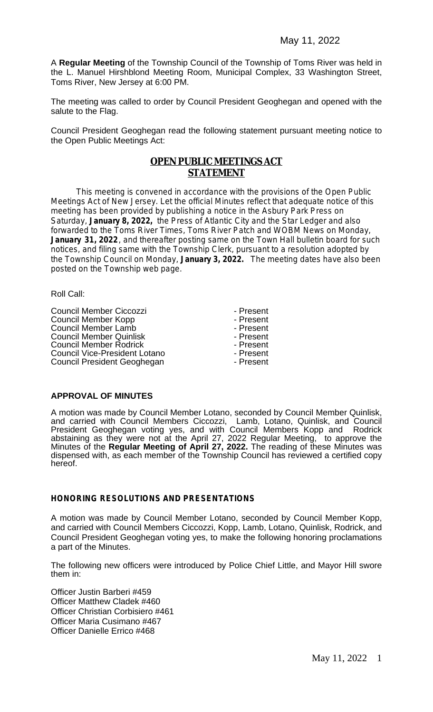A **Regular Meeting** of the Township Council of the Township of Toms River was held in the L. Manuel Hirshblond Meeting Room, Municipal Complex, 33 Washington Street, Toms River, New Jersey at 6:00 PM.

The meeting was called to order by Council President Geoghegan and opened with the salute to the Flag.

Council President Geoghegan read the following statement pursuant meeting notice to the Open Public Meetings Act:

# **OPEN PUBLIC MEETINGS ACT STATEMENT**

This meeting is convened in accordance with the provisions of the Open Public Meetings Act of New Jersey. Let the official Minutes reflect that adequate notice of this meeting has been provided by publishing a notice in the Asbury Park Press on Saturday, **January 8, 2022,** the Press of Atlantic City and the Star Ledger and also forwarded to the Toms River Times, Toms River Patch and WOBM News on Monday, January 31, 2022, and thereafter posting same on the Town Hall bulletin board for such notices, and filing same with the Township Clerk, pursuant to a resolution adopted by the Township Council on Monday, **January 3, 2022.** The meeting dates have also been posted on the Township web page.

Roll Call:

Council Member Ciccozzi<br>
Council Member Kopp<br>
Present Council Member Kopp<br>
Council Member Lamb<br>
Council Member Lamb<br>
Council Member Lamb Council Member Lamb<br>
Council Member Quinlisk<br>
Council Member Quinlisk<br>
Council Member Quinlisk<br>
Council Member Quinlisk Council Member Quinlisk Fresent<br>
Council Member Rodrick Fresent - Present Council Member Rodrick<br>
Council Vice-President Lotano<br>
Present Council Vice-President Lotano<br>
Council President Geoghegan<br>
Present Council President Geoghegan

## **APPROVAL OF MINUTES**

A motion was made by Council Member Lotano, seconded by Council Member Quinlisk, and carried with Council Members Ciccozzi, Lamb, Lotano, Quinlisk, and Council President Geoghegan voting yes, and with Council Members Kopp and Rodrick abstaining as they were not at the April 27, 2022 Regular Meeting, to approve the Minutes of the **Regular Meeting of April 27, 2022.** The reading of these Minutes was dispensed with, as each member of the Township Council has reviewed a certified copy hereof.

#### **HONORING RESOLUTIONS AND PRESENTATIONS**

A motion was made by Council Member Lotano, seconded by Council Member Kopp, and carried with Council Members Ciccozzi, Kopp, Lamb, Lotano, Quinlisk, Rodrick, and Council President Geoghegan voting yes, to make the following honoring proclamations a part of the Minutes.

The following new officers were introduced by Police Chief Little, and Mayor Hill swore them in:

Officer Justin Barberi #459 Officer Matthew Cladek #460 Officer Christian Corbisiero #461 Officer Maria Cusimano #467 Officer Danielle Errico #468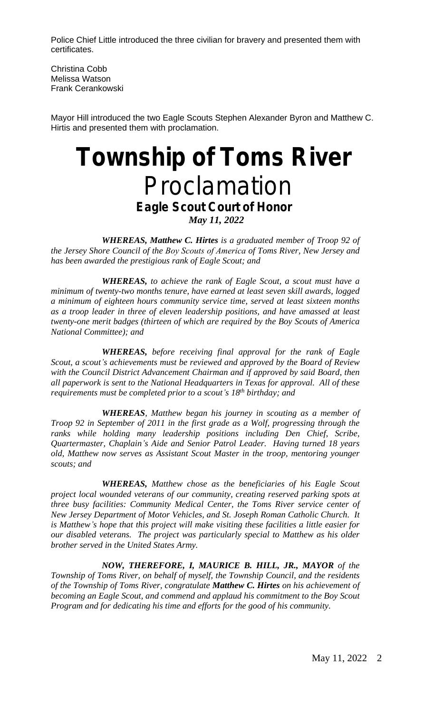Police Chief Little introduced the three civilian for bravery and presented them with certificates.

Christina Cobb Melissa Watson Frank Cerankowski

Mayor Hill introduced the two Eagle Scouts Stephen Alexander Byron and Matthew C. Hirtis and presented them with proclamation.

# *Township of Toms River* Proclamation *Eagle Scout Court of Honor May 11, 2022*

*WHEREAS, Matthew C. Hirtes is a graduated member of Troop 92 of the Jersey Shore Council of the Boy Scouts of America of Toms River, New Jersey and has been awarded the prestigious rank of Eagle Scout; and*

*WHEREAS, to achieve the rank of Eagle Scout, a scout must have a minimum of twenty-two months tenure, have earned at least seven skill awards, logged a minimum of eighteen hours community service time, served at least sixteen months as a troop leader in three of eleven leadership positions, and have amassed at least twenty-one merit badges (thirteen of which are required by the Boy Scouts of America National Committee); and*

*WHEREAS, before receiving final approval for the rank of Eagle Scout, a scout's achievements must be reviewed and approved by the Board of Review with the Council District Advancement Chairman and if approved by said Board, then all paperwork is sent to the National Headquarters in Texas for approval. All of these requirements must be completed prior to a scout's 18th birthday; and*

*WHEREAS, Matthew began his journey in scouting as a member of Troop 92 in September of 2011 in the first grade as a Wolf, progressing through the ranks while holding many leadership positions including Den Chief, Scribe, Quartermaster, Chaplain's Aide and Senior Patrol Leader. Having turned 18 years old, Matthew now serves as Assistant Scout Master in the troop, mentoring younger scouts; and* 

*WHEREAS, Matthew chose as the beneficiaries of his Eagle Scout project local wounded veterans of our community, creating reserved parking spots at three busy facilities: Community Medical Center, the Toms River service center of New Jersey Department of Motor Vehicles, and St. Joseph Roman Catholic Church. It is Matthew's hope that this project will make visiting these facilities a little easier for our disabled veterans. The project was particularly special to Matthew as his older brother served in the United States Army.*

*NOW, THEREFORE, I, MAURICE B. HILL, JR., MAYOR of the Township of Toms River, on behalf of myself, the Township Council, and the residents of the Township of Toms River, congratulate Matthew C. Hirtes on his achievement of becoming an Eagle Scout, and commend and applaud his commitment to the Boy Scout Program and for dedicating his time and efforts for the good of his community.*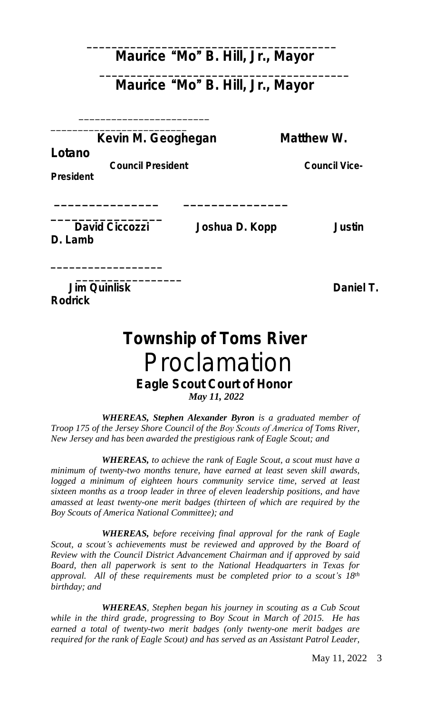# **Maurice** "**Mo**" **B. Hill, Jr., Mayor**

**\_\_\_\_\_\_\_\_\_\_\_\_\_\_\_\_\_\_\_\_\_\_\_\_\_\_\_\_\_\_\_\_\_\_\_\_\_\_\_\_**

# **Maurice** "**Mo**" **B. Hill, Jr., Mayor**

**\_\_\_\_\_\_\_\_\_\_\_\_\_\_\_\_\_\_\_\_\_\_\_\_\_\_\_\_\_\_\_\_\_\_\_\_\_\_\_\_**

**Kevin M. Geoghegan Matthew W.** 

**\_\_\_\_\_\_\_\_\_\_\_\_\_\_\_ \_\_\_\_\_\_\_\_\_\_\_\_\_\_\_** 

**Lotano**

 **Council President Council Vice-**

\_\_\_\_\_\_\_\_\_\_\_\_\_\_\_\_\_\_\_\_\_\_\_\_ \_\_\_\_\_\_\_\_\_\_\_\_\_\_\_\_\_\_\_\_\_\_\_\_\_

**President**

**\_\_\_\_\_\_\_\_\_\_\_\_\_\_\_\_ David Ciccozzi Joshua D. Kopp Justin D. Lamb** 

**\_\_\_\_\_\_\_\_\_\_\_\_\_\_\_\_\_\_**

**\_\_\_\_\_\_\_\_\_\_\_\_\_\_\_\_\_** *Daniel T.* **Daniel T. Rodrick**

# *Township of Toms River* Proclamation *Eagle Scout Court of Honor May 11, 2022*

*WHEREAS, Stephen Alexander Byron is a graduated member of Troop 175 of the Jersey Shore Council of the Boy Scouts of America of Toms River, New Jersey and has been awarded the prestigious rank of Eagle Scout; and*

*WHEREAS, to achieve the rank of Eagle Scout, a scout must have a minimum of twenty-two months tenure, have earned at least seven skill awards, logged a minimum of eighteen hours community service time, served at least sixteen months as a troop leader in three of eleven leadership positions, and have amassed at least twenty-one merit badges (thirteen of which are required by the Boy Scouts of America National Committee); and*

*WHEREAS, before receiving final approval for the rank of Eagle Scout, a scout's achievements must be reviewed and approved by the Board of Review with the Council District Advancement Chairman and if approved by said Board, then all paperwork is sent to the National Headquarters in Texas for approval. All of these requirements must be completed prior to a scout's 18th birthday; and*

*WHEREAS, Stephen began his journey in scouting as a Cub Scout while in the third grade, progressing to Boy Scout in March of 2015. He has earned a total of twenty-two merit badges (only twenty-one merit badges are required for the rank of Eagle Scout) and has served as an Assistant Patrol Leader,*

May 11, 2022 3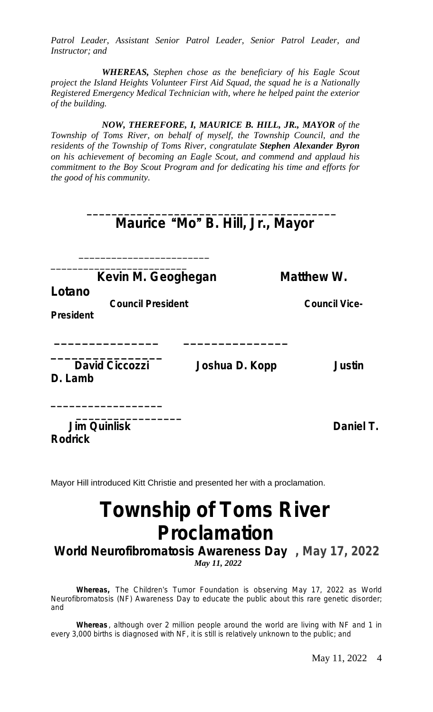*Patrol Leader, Assistant Senior Patrol Leader, Senior Patrol Leader, and Instructor; and*

*WHEREAS, Stephen chose as the beneficiary of his Eagle Scout project the Island Heights Volunteer First Aid Squad, the squad he is a Nationally Registered Emergency Medical Technician with, where he helped paint the exterior of the building.*

*NOW, THEREFORE, I, MAURICE B. HILL, JR., MAYOR of the Township of Toms River, on behalf of myself, the Township Council, and the residents of the Township of Toms River, congratulate Stephen Alexander Byron on his achievement of becoming an Eagle Scout, and commend and applaud his commitment to the Boy Scout Program and for dedicating his time and efforts for the good of his community.*

|                                                                              | Maurice "Mo" B. Hill, Jr., Mayor |                                    |
|------------------------------------------------------------------------------|----------------------------------|------------------------------------|
| Kevin M. Geoghegan<br>Lotano<br><b>Council President</b><br><b>President</b> |                                  | Matthew W.<br><b>Council Vice-</b> |
| <b>David Ciccozzi</b><br>D. Lamb                                             | Joshua D. Kopp                   | <b>Justin</b>                      |
| <b>Jim Quinlisk</b><br><b>Rodrick</b>                                        |                                  | Daniel T.                          |

Mayor Hill introduced Kitt Christie and presented her with a proclamation.

# **Township of Toms River Proclamation**

*World Neurofibromatosis Awareness Day* **, May 17, 2022** *May 11, 2022*

**Whereas,** The Children's Tumor Foundation is observing May 17, 2022 as World Neurofibromatosis (NF) Awareness Day to educate the public about this rare genetic disorder; and

**Whereas** , although over 2 million people around the world are living with NF and 1 in every 3,000 births is diagnosed with NF, it is still is relatively unknown to the public; and

May 11, 2022 4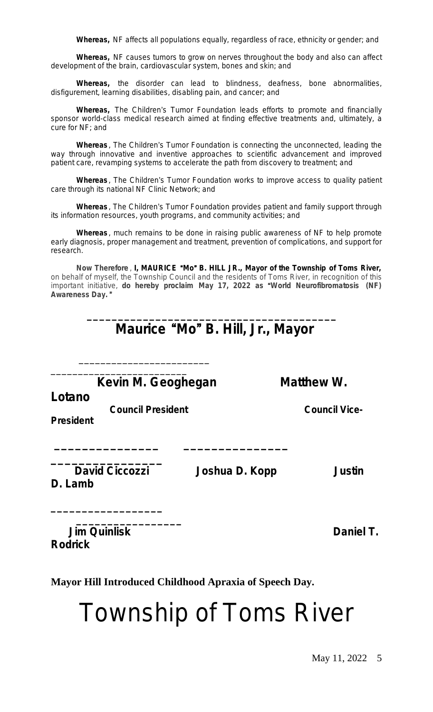**Whereas,** NF affects all populations equally, regardless of race, ethnicity or gender; and

**Whereas,** NF causes tumors to grow on nerves throughout the body and also can affect development of the brain, cardiovascular system, bones and skin; and

**Whereas,** the disorder can lead to blindness, deafness, bone abnormalities, disfigurement, learning disabilities, disabling pain, and cancer; and

**Whereas,** The Children's Tumor Foundation leads efforts to promote and financially sponsor world-class medical research aimed at finding effective treatments and, ultimately, a cure for NF; and

**Whereas** , The Children's Tumor Foundation is connecting the unconnected, leading the way through innovative and inventive approaches to scientific advancement and improved patient care, revamping systems to accelerate the path from discovery to treatment; and

**Whereas** , The Children's Tumor Foundation works to improve access to quality patient care through its national NF Clinic Network; and

**Whereas** , The Children's Tumor Foundation provides patient and family support through its information resources, youth programs, and community activities; and

**Whereas** , much remains to be done in raising public awareness of NF to help promote early diagnosis, proper management and treatment, prevention of complications, and support for research.

**Now Therefore** , **I, MAURICE** "**Mo**" **B. HILL JR., Mayor of the Township of Toms River,** on behalf of myself, the Township Council and the residents of Toms River, in recognition of this important initiative, **do hereby proclaim May 17, 2022 as** "**World Neurofibromatosis (NF) Awareness Day.** "

# **Maurice** "**Mo**" **B. Hill, Jr., Mayor**

**\_\_\_\_\_\_\_\_\_\_\_\_\_\_\_\_\_\_\_\_\_\_\_\_\_\_\_\_\_\_\_\_\_\_\_\_\_\_\_\_**

**Kevin M. Geoghegan Matthew W.** 

\_\_\_\_\_\_\_\_\_\_\_\_\_\_\_\_\_\_\_\_\_\_\_\_ \_\_\_\_\_\_\_\_\_\_\_\_\_\_\_\_\_\_\_\_\_\_\_\_\_

**Lotano**

 **Council President Council Vice-**

**\_\_\_\_\_\_\_\_\_\_\_\_\_\_\_ \_\_\_\_\_\_\_\_\_\_\_\_\_\_\_** 

**President**

**D. Lamb** 

**\_\_\_\_\_\_\_\_\_\_\_\_\_\_\_\_\_\_**

**\_\_\_\_\_\_\_\_\_\_\_\_\_\_\_\_**

**David Ciccozzi Joshua D. Kopp Justin** *Justin* 

**\_\_\_\_\_\_\_\_\_\_\_\_\_\_\_\_\_ Jim Quinlisk Daniel T. Rodrick**

**Mayor Hill Introduced Childhood Apraxia of Speech Day.**

Township of Toms River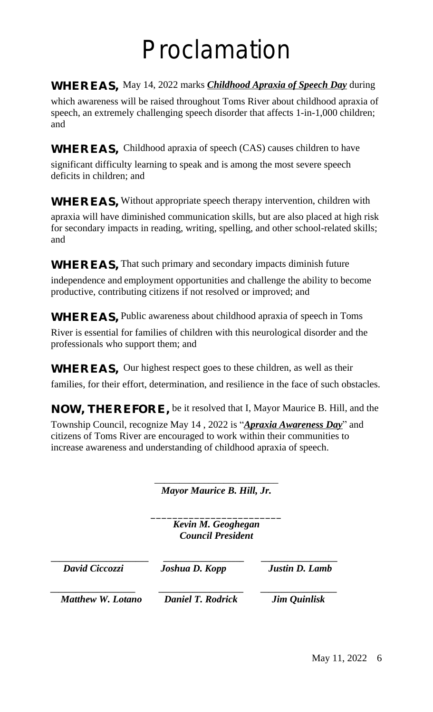# Proclamation

# **WHEREAS,** May 14, 2022 marks *Childhood Apraxia of Speech Day* during

which awareness will be raised throughout Toms River about childhood apraxia of speech, an extremely challenging speech disorder that affects 1-in-1,000 children; and

**WHEREAS,** Childhood apraxia of speech (CAS) causes children to have

significant difficulty learning to speak and is among the most severe speech deficits in children; and

**WHEREAS,** Without appropriate speech therapy intervention, children with

apraxia will have diminished communication skills, but are also placed at high risk for secondary impacts in reading, writing, spelling, and other school-related skills; and

**WHEREAS,** That such primary and secondary impacts diminish future

independence and employment opportunities and challenge the ability to become productive, contributing citizens if not resolved or improved; and

**WHEREAS,** Public awareness about childhood apraxia of speech in Toms

River is essential for families of children with this neurological disorder and the professionals who support them; and

**WHEREAS,** Our highest respect goes to these children, as well as their

families, for their effort, determination, and resilience in the face of such obstacles.

**NOW, THEREFORE,** be it resolved that I, Mayor Maurice B. Hill, and the

Township Council, recognize May 14 , 2022 is "*Apraxia Awareness Day*" and citizens of Toms River are encouraged to work within their communities to increase awareness and understanding of childhood apraxia of speech.

> \_\_\_\_\_\_\_\_\_\_\_\_\_\_\_\_\_\_\_\_\_\_\_\_\_ *Mayor Maurice B. Hill, Jr.*

\_\_\_\_\_\_\_\_\_\_\_\_\_\_\_\_\_\_\_\_\_\_\_\_ *Kevin M. Geoghegan Council President*

**\_\_\_\_\_\_\_\_\_\_\_\_\_\_\_\_\_\_\_\_\_\_\_ \_\_\_\_\_\_\_\_\_\_\_\_\_\_\_\_\_\_\_ \_\_\_\_\_\_\_\_\_\_\_\_\_\_\_\_\_\_**  *David Ciccozzi Joshua D. Kopp Justin D. Lamb*

 *Matthew W. Lotano Daniel T. Rodrick Jim Quinlisk*

*\_\_\_\_\_\_\_\_\_\_\_\_\_\_\_\_\_\_\_\_ \_\_\_\_\_\_\_\_\_\_\_\_\_\_\_\_\_\_\_\_ \_\_\_\_\_\_\_\_\_\_\_\_\_\_\_\_\_\_*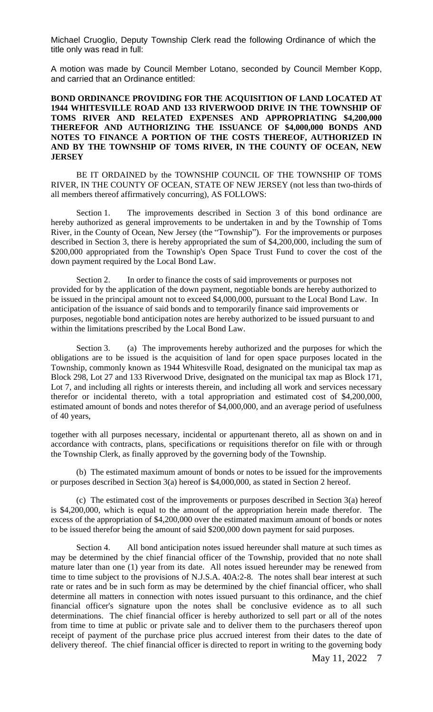Michael Cruoglio, Deputy Township Clerk read the following Ordinance of which the title only was read in full:

A motion was made by Council Member Lotano, seconded by Council Member Kopp, and carried that an Ordinance entitled:

#### **BOND ORDINANCE PROVIDING FOR THE ACQUISITION OF LAND LOCATED AT 1944 WHITESVILLE ROAD AND 133 RIVERWOOD DRIVE IN THE TOWNSHIP OF TOMS RIVER AND RELATED EXPENSES AND APPROPRIATING \$4,200,000 THEREFOR AND AUTHORIZING THE ISSUANCE OF \$4,000,000 BONDS AND NOTES TO FINANCE A PORTION OF THE COSTS THEREOF, AUTHORIZED IN AND BY THE TOWNSHIP OF TOMS RIVER, IN THE COUNTY OF OCEAN, NEW JERSEY**

BE IT ORDAINED by the TOWNSHIP COUNCIL OF THE TOWNSHIP OF TOMS RIVER, IN THE COUNTY OF OCEAN, STATE OF NEW JERSEY (not less than two-thirds of all members thereof affirmatively concurring), AS FOLLOWS:

Section 1. The improvements described in Section 3 of this bond ordinance are hereby authorized as general improvements to be undertaken in and by the Township of Toms River, in the County of Ocean, New Jersey (the "Township"). For the improvements or purposes described in Section 3, there is hereby appropriated the sum of \$4,200,000, including the sum of \$200,000 appropriated from the Township's Open Space Trust Fund to cover the cost of the down payment required by the Local Bond Law.

Section 2. In order to finance the costs of said improvements or purposes not provided for by the application of the down payment, negotiable bonds are hereby authorized to be issued in the principal amount not to exceed \$4,000,000, pursuant to the Local Bond Law. In anticipation of the issuance of said bonds and to temporarily finance said improvements or purposes, negotiable bond anticipation notes are hereby authorized to be issued pursuant to and within the limitations prescribed by the Local Bond Law.

Section 3. (a) The improvements hereby authorized and the purposes for which the obligations are to be issued is the acquisition of land for open space purposes located in the Township, commonly known as 1944 Whitesville Road, designated on the municipal tax map as Block 298, Lot 27 and 133 Riverwood Drive, designated on the municipal tax map as Block 171, Lot 7, and including all rights or interests therein, and including all work and services necessary therefor or incidental thereto, with a total appropriation and estimated cost of \$4,200,000, estimated amount of bonds and notes therefor of \$4,000,000, and an average period of usefulness of 40 years,

together with all purposes necessary, incidental or appurtenant thereto, all as shown on and in accordance with contracts, plans, specifications or requisitions therefor on file with or through the Township Clerk, as finally approved by the governing body of the Township.

(b) The estimated maximum amount of bonds or notes to be issued for the improvements or purposes described in Section 3(a) hereof is \$4,000,000, as stated in Section 2 hereof.

(c) The estimated cost of the improvements or purposes described in Section 3(a) hereof is \$4,200,000, which is equal to the amount of the appropriation herein made therefor. The excess of the appropriation of \$4,200,000 over the estimated maximum amount of bonds or notes to be issued therefor being the amount of said \$200,000 down payment for said purposes.

Section 4. All bond anticipation notes issued hereunder shall mature at such times as may be determined by the chief financial officer of the Township, provided that no note shall mature later than one (1) year from its date. All notes issued hereunder may be renewed from time to time subject to the provisions of N.J.S.A. 40A:2-8. The notes shall bear interest at such rate or rates and be in such form as may be determined by the chief financial officer, who shall determine all matters in connection with notes issued pursuant to this ordinance, and the chief financial officer's signature upon the notes shall be conclusive evidence as to all such determinations. The chief financial officer is hereby authorized to sell part or all of the notes from time to time at public or private sale and to deliver them to the purchasers thereof upon receipt of payment of the purchase price plus accrued interest from their dates to the date of delivery thereof. The chief financial officer is directed to report in writing to the governing body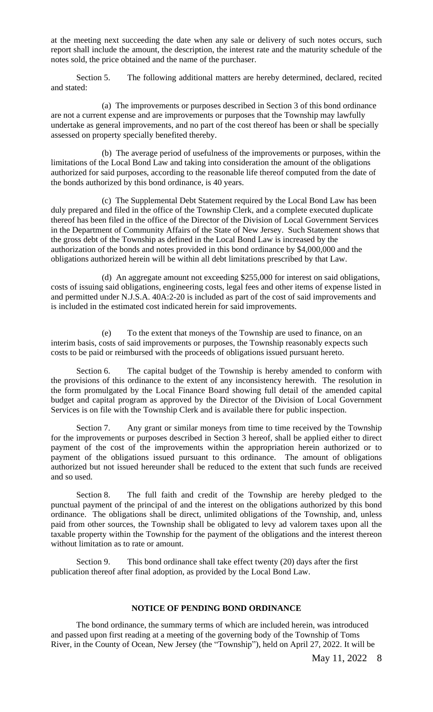at the meeting next succeeding the date when any sale or delivery of such notes occurs, such report shall include the amount, the description, the interest rate and the maturity schedule of the notes sold, the price obtained and the name of the purchaser.

Section 5. The following additional matters are hereby determined, declared, recited and stated:

(a) The improvements or purposes described in Section 3 of this bond ordinance are not a current expense and are improvements or purposes that the Township may lawfully undertake as general improvements, and no part of the cost thereof has been or shall be specially assessed on property specially benefited thereby.

(b) The average period of usefulness of the improvements or purposes, within the limitations of the Local Bond Law and taking into consideration the amount of the obligations authorized for said purposes, according to the reasonable life thereof computed from the date of the bonds authorized by this bond ordinance, is 40 years.

(c) The Supplemental Debt Statement required by the Local Bond Law has been duly prepared and filed in the office of the Township Clerk, and a complete executed duplicate thereof has been filed in the office of the Director of the Division of Local Government Services in the Department of Community Affairs of the State of New Jersey. Such Statement shows that the gross debt of the Township as defined in the Local Bond Law is increased by the authorization of the bonds and notes provided in this bond ordinance by \$4,000,000 and the obligations authorized herein will be within all debt limitations prescribed by that Law.

(d) An aggregate amount not exceeding \$255,000 for interest on said obligations, costs of issuing said obligations, engineering costs, legal fees and other items of expense listed in and permitted under N.J.S.A. 40A:2-20 is included as part of the cost of said improvements and is included in the estimated cost indicated herein for said improvements.

(e) To the extent that moneys of the Township are used to finance, on an interim basis, costs of said improvements or purposes, the Township reasonably expects such costs to be paid or reimbursed with the proceeds of obligations issued pursuant hereto.

Section 6. The capital budget of the Township is hereby amended to conform with the provisions of this ordinance to the extent of any inconsistency herewith. The resolution in the form promulgated by the Local Finance Board showing full detail of the amended capital budget and capital program as approved by the Director of the Division of Local Government Services is on file with the Township Clerk and is available there for public inspection.

Section 7. Any grant or similar moneys from time to time received by the Township for the improvements or purposes described in Section 3 hereof, shall be applied either to direct payment of the cost of the improvements within the appropriation herein authorized or to payment of the obligations issued pursuant to this ordinance. The amount of obligations authorized but not issued hereunder shall be reduced to the extent that such funds are received and so used.

Section 8. The full faith and credit of the Township are hereby pledged to the punctual payment of the principal of and the interest on the obligations authorized by this bond ordinance. The obligations shall be direct, unlimited obligations of the Township, and, unless paid from other sources, the Township shall be obligated to levy ad valorem taxes upon all the taxable property within the Township for the payment of the obligations and the interest thereon without limitation as to rate or amount.

Section 9. This bond ordinance shall take effect twenty (20) days after the first publication thereof after final adoption, as provided by the Local Bond Law.

#### **NOTICE OF PENDING BOND ORDINANCE**

The bond ordinance, the summary terms of which are included herein, was introduced and passed upon first reading at a meeting of the governing body of the Township of Toms River, in the County of Ocean, New Jersey (the "Township"), held on April 27, 2022. It will be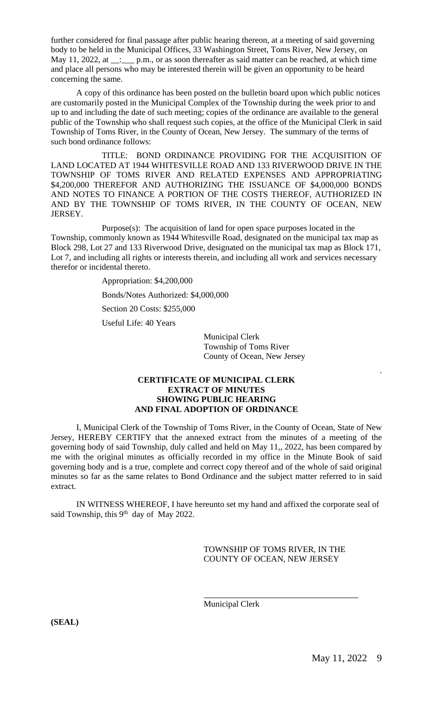further considered for final passage after public hearing thereon, at a meeting of said governing body to be held in the Municipal Offices, 33 Washington Street, Toms River, New Jersey, on May 11, 2022, at \_\_: \_\_\_ p.m., or as soon thereafter as said matter can be reached, at which time and place all persons who may be interested therein will be given an opportunity to be heard concerning the same.

A copy of this ordinance has been posted on the bulletin board upon which public notices are customarily posted in the Municipal Complex of the Township during the week prior to and up to and including the date of such meeting; copies of the ordinance are available to the general public of the Township who shall request such copies, at the office of the Municipal Clerk in said Township of Toms River, in the County of Ocean, New Jersey. The summary of the terms of such bond ordinance follows:

TITLE: BOND ORDINANCE PROVIDING FOR THE ACQUISITION OF LAND LOCATED AT 1944 WHITESVILLE ROAD AND 133 RIVERWOOD DRIVE IN THE TOWNSHIP OF TOMS RIVER AND RELATED EXPENSES AND APPROPRIATING \$4,200,000 THEREFOR AND AUTHORIZING THE ISSUANCE OF \$4,000,000 BONDS AND NOTES TO FINANCE A PORTION OF THE COSTS THEREOF, AUTHORIZED IN AND BY THE TOWNSHIP OF TOMS RIVER, IN THE COUNTY OF OCEAN, NEW JERSEY.

Purpose(s): The acquisition of land for open space purposes located in the Township, commonly known as 1944 Whitesville Road, designated on the municipal tax map as Block 298, Lot 27 and 133 Riverwood Drive, designated on the municipal tax map as Block 171, Lot 7, and including all rights or interests therein, and including all work and services necessary therefor or incidental thereto.

Appropriation: \$4,200,000

Bonds/Notes Authorized: \$4,000,000

Section 20 Costs: \$255,000

Useful Life: 40 Years

Municipal Clerk Township of Toms River County of Ocean, New Jersey

#### **CERTIFICATE OF MUNICIPAL CLERK EXTRACT OF MINUTES SHOWING PUBLIC HEARING AND FINAL ADOPTION OF ORDINANCE**

I, Municipal Clerk of the Township of Toms River, in the County of Ocean, State of New Jersey, HEREBY CERTIFY that the annexed extract from the minutes of a meeting of the governing body of said Township, duly called and held on May 11,, 2022, has been compared by me with the original minutes as officially recorded in my office in the Minute Book of said governing body and is a true, complete and correct copy thereof and of the whole of said original minutes so far as the same relates to Bond Ordinance and the subject matter referred to in said extract.

IN WITNESS WHEREOF, I have hereunto set my hand and affixed the corporate seal of said Township, this 9<sup>th</sup> day of May 2022.

 $\overline{a}$ 

TOWNSHIP OF TOMS RIVER, IN THE COUNTY OF OCEAN, NEW JERSEY

Municipal Clerk

**(SEAL)**

.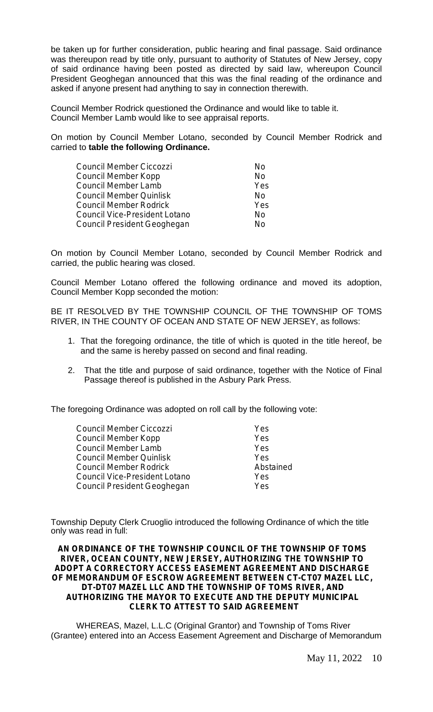be taken up for further consideration, public hearing and final passage. Said ordinance was thereupon read by title only, pursuant to authority of Statutes of New Jersey, copy of said ordinance having been posted as directed by said law, whereupon Council President Geoghegan announced that this was the final reading of the ordinance and asked if anyone present had anything to say in connection therewith.

Council Member Rodrick questioned the Ordinance and would like to table it. Council Member Lamb would like to see appraisal reports.

On motion by Council Member Lotano, seconded by Council Member Rodrick and carried to **table the following Ordinance.**

| Council Member Ciccozzi       | Nο  |
|-------------------------------|-----|
| Council Member Kopp           | No  |
| Council Member Lamb           | Yes |
| Council Member Quinlisk       | Nο  |
| Council Member Rodrick        | Yes |
| Council Vice-President Lotano | No  |
| Council President Geoghegan   | N٥  |

On motion by Council Member Lotano, seconded by Council Member Rodrick and carried, the public hearing was closed.

Council Member Lotano offered the following ordinance and moved its adoption, Council Member Kopp seconded the motion:

BE IT RESOLVED BY THE TOWNSHIP COUNCIL OF THE TOWNSHIP OF TOMS RIVER, IN THE COUNTY OF OCEAN AND STATE OF NEW JERSEY, as follows:

- 1. That the foregoing ordinance, the title of which is quoted in the title hereof, be and the same is hereby passed on second and final reading.
- 2. That the title and purpose of said ordinance, together with the Notice of Final Passage thereof is published in the Asbury Park Press.

The foregoing Ordinance was adopted on roll call by the following vote:

| Council Member Ciccozzi       | Yes        |
|-------------------------------|------------|
| Council Member Kopp           | Yes        |
| Council Member Lamb           | Yes        |
| Council Member Quinlisk       | Yes        |
| Council Member Rodrick        | Abstained  |
| Council Vice-President Lotano | <b>Yes</b> |
| Council President Geoghegan   | Yes        |

Township Deputy Clerk Cruoglio introduced the following Ordinance of which the title only was read in full:

**AN ORDINANCE OF THE TOWNSHIP COUNCIL OF THE TOWNSHIP OF TOMS RIVER, OCEAN COUNTY, NEW JERSEY, AUTHORIZING THE TOWNSHIP TO ADOPT A CORRECTORY ACCESS EASEMENT AGREEMENT AND DISCHARGE OF MEMORANDUM OF ESCROW AGREEMENT BETWEEN CT-CT07 MAZEL LLC, DT-DT07 MAZEL LLC AND THE TOWNSHIP OF TOMS RIVER, AND AUTHORIZING THE MAYOR TO EXECUTE AND THE DEPUTY MUNICIPAL CLERK TO ATTEST TO SAID AGREEMENT**

WHEREAS, Mazel, L.L.C (Original Grantor) and Township of Toms River (Grantee) entered into an Access Easement Agreement and Discharge of Memorandum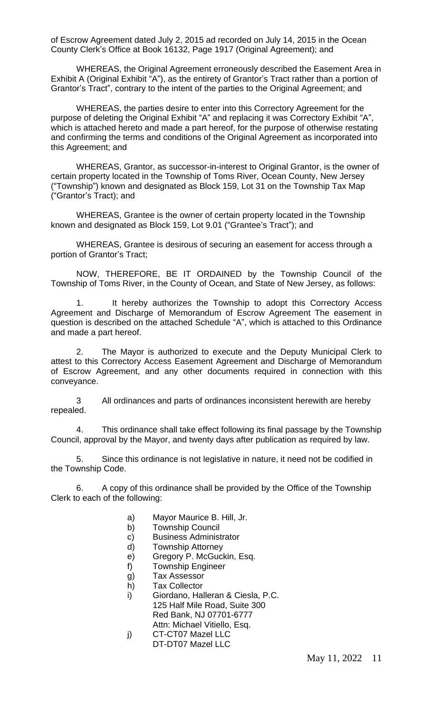of Escrow Agreement dated July 2, 2015 ad recorded on July 14, 2015 in the Ocean County Clerk's Office at Book 16132, Page 1917 (Original Agreement); and

WHEREAS, the Original Agreement erroneously described the Easement Area in Exhibit A (Original Exhibit "A"), as the entirety of Grantor's Tract rather than a portion of Grantor's Tract", contrary to the intent of the parties to the Original Agreement; and

WHEREAS, the parties desire to enter into this Correctory Agreement for the purpose of deleting the Original Exhibit "A" and replacing it was Correctory Exhibit "A", which is attached hereto and made a part hereof, for the purpose of otherwise restating and confirming the terms and conditions of the Original Agreement as incorporated into this Agreement; and

WHEREAS, Grantor, as successor-in-interest to Original Grantor, is the owner of certain property located in the Township of Toms River, Ocean County, New Jersey ("Township") known and designated as Block 159, Lot 31 on the Township Tax Map ("Grantor's Tract); and

WHEREAS, Grantee is the owner of certain property located in the Township known and designated as Block 159, Lot 9.01 ("Grantee's Tract"); and

WHEREAS, Grantee is desirous of securing an easement for access through a portion of Grantor's Tract;

NOW, THEREFORE, BE IT ORDAINED by the Township Council of the Township of Toms River, in the County of Ocean, and State of New Jersey, as follows:

1. It hereby authorizes the Township to adopt this Correctory Access Agreement and Discharge of Memorandum of Escrow Agreement The easement in question is described on the attached Schedule "A", which is attached to this Ordinance and made a part hereof.

2. The Mayor is authorized to execute and the Deputy Municipal Clerk to attest to this Correctory Access Easement Agreement and Discharge of Memorandum of Escrow Agreement, and any other documents required in connection with this conveyance.

3 All ordinances and parts of ordinances inconsistent herewith are hereby repealed.

4. This ordinance shall take effect following its final passage by the Township Council, approval by the Mayor, and twenty days after publication as required by law.

5. Since this ordinance is not legislative in nature, it need not be codified in the Township Code.

6. A copy of this ordinance shall be provided by the Office of the Township Clerk to each of the following:

- a) Mayor Maurice B. Hill, Jr.
- b) Township Council
- c) Business Administrator
- d) Township Attorney
- e) Gregory P. McGuckin, Esq.
- f) Township Engineer
- g) Tax Assessor
- h) Tax Collector
- i) Giordano, Halleran & Ciesla, P.C. 125 Half Mile Road, Suite 300 Red Bank, NJ 07701-6777 Attn: Michael Vitiello, Esq.
- j) CT-CT07 Mazel LLC DT-DT07 Mazel LLC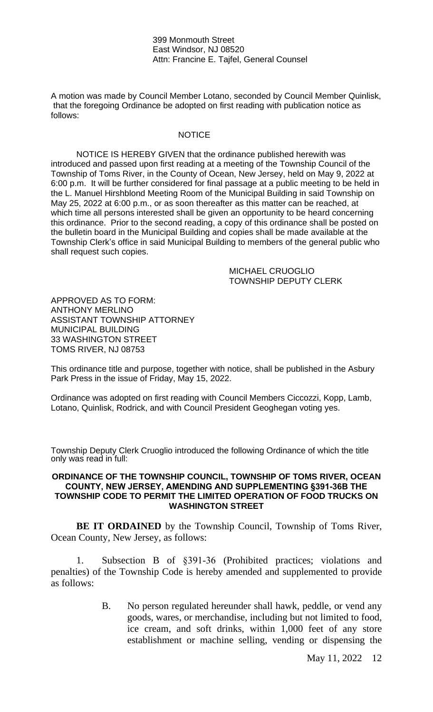399 Monmouth Street East Windsor, NJ 08520 Attn: Francine E. Tajfel, General Counsel

A motion was made by Council Member Lotano, seconded by Council Member Quinlisk, that the foregoing Ordinance be adopted on first reading with publication notice as follows:

#### **NOTICE**

NOTICE IS HEREBY GIVEN that the ordinance published herewith was introduced and passed upon first reading at a meeting of the Township Council of the Township of Toms River, in the County of Ocean, New Jersey, held on May 9, 2022 at 6:00 p.m. It will be further considered for final passage at a public meeting to be held in the L. Manuel Hirshblond Meeting Room of the Municipal Building in said Township on May 25, 2022 at 6:00 p.m., or as soon thereafter as this matter can be reached, at which time all persons interested shall be given an opportunity to be heard concerning this ordinance. Prior to the second reading, a copy of this ordinance shall be posted on the bulletin board in the Municipal Building and copies shall be made available at the Township Clerk's office in said Municipal Building to members of the general public who shall request such copies.

> MICHAEL CRUOGLIO TOWNSHIP DEPUTY CLERK

APPROVED AS TO FORM: ANTHONY MERLINO ASSISTANT TOWNSHIP ATTORNEY MUNICIPAL BUILDING 33 WASHINGTON STREET TOMS RIVER, NJ 08753

This ordinance title and purpose, together with notice, shall be published in the Asbury Park Press in the issue of Friday, May 15, 2022.

Ordinance was adopted on first reading with Council Members Ciccozzi, Kopp, Lamb, Lotano, Quinlisk, Rodrick, and with Council President Geoghegan voting yes.

Township Deputy Clerk Cruoglio introduced the following Ordinance of which the title only was read in full:

#### **ORDINANCE OF THE TOWNSHIP COUNCIL, TOWNSHIP OF TOMS RIVER, OCEAN COUNTY, NEW JERSEY, AMENDING AND SUPPLEMENTING §391-36B THE TOWNSHIP CODE TO PERMIT THE LIMITED OPERATION OF FOOD TRUCKS ON WASHINGTON STREET**

**BE IT ORDAINED** by the Township Council, Township of Toms River, Ocean County, New Jersey, as follows:

1. Subsection B of §391-36 (Prohibited practices; violations and penalties) of the Township Code is hereby amended and supplemented to provide as follows:

> B. No person regulated hereunder shall hawk, peddle, or vend any goods, wares, or merchandise, including but not limited to food, ice cream, and soft drinks, within 1,000 feet of any store establishment or machine selling, vending or dispensing the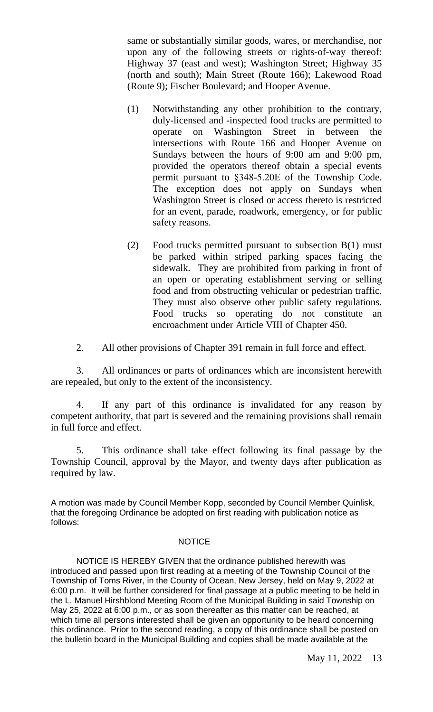same or substantially similar goods, wares, or merchandise, nor upon any of the following streets or rights-of-way thereof: Highway 37 (east and west); Washington Street; Highway 35 (north and south); Main Street (Route 166); Lakewood Road (Route 9); Fischer Boulevard; and Hooper Avenue.

- (1) Notwithstanding any other prohibition to the contrary, duly-licensed and -inspected food trucks are permitted to operate on Washington Street in between the intersections with Route 166 and Hooper Avenue on Sundays between the hours of 9:00 am and 9:00 pm, provided the operators thereof obtain a special events permit pursuant to §348-5.20E of the Township Code. The exception does not apply on Sundays when Washington Street is closed or access thereto is restricted for an event, parade, roadwork, emergency, or for public safety reasons.
- (2) Food trucks permitted pursuant to subsection B(1) must be parked within striped parking spaces facing the sidewalk. They are prohibited from parking in front of an open or operating establishment serving or selling food and from obstructing vehicular or pedestrian traffic. They must also observe other public safety regulations. Food trucks so operating do not constitute an encroachment under Article VIII of Chapter 450.
- 2. All other provisions of Chapter 391 remain in full force and effect.

3. All ordinances or parts of ordinances which are inconsistent herewith are repealed, but only to the extent of the inconsistency.

4. If any part of this ordinance is invalidated for any reason by competent authority, that part is severed and the remaining provisions shall remain in full force and effect.

5. This ordinance shall take effect following its final passage by the Township Council, approval by the Mayor, and twenty days after publication as required by law.

A motion was made by Council Member Kopp, seconded by Council Member Quinlisk, that the foregoing Ordinance be adopted on first reading with publication notice as follows:

#### **NOTICE**

NOTICE IS HEREBY GIVEN that the ordinance published herewith was introduced and passed upon first reading at a meeting of the Township Council of the Township of Toms River, in the County of Ocean, New Jersey, held on May 9, 2022 at 6:00 p.m. It will be further considered for final passage at a public meeting to be held in the L. Manuel Hirshblond Meeting Room of the Municipal Building in said Township on May 25, 2022 at 6:00 p.m., or as soon thereafter as this matter can be reached, at which time all persons interested shall be given an opportunity to be heard concerning this ordinance. Prior to the second reading, a copy of this ordinance shall be posted on the bulletin board in the Municipal Building and copies shall be made available at the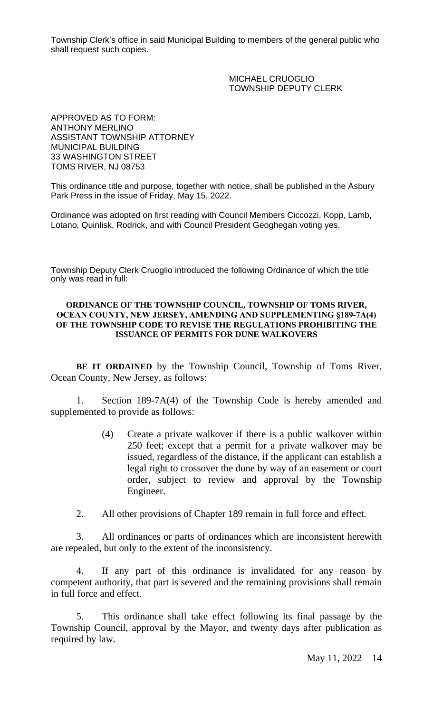Township Clerk's office in said Municipal Building to members of the general public who shall request such copies.

> MICHAEL CRUOGLIO TOWNSHIP DEPUTY CLERK

APPROVED AS TO FORM: ANTHONY MERLINO ASSISTANT TOWNSHIP ATTORNEY MUNICIPAL BUILDING 33 WASHINGTON STREET TOMS RIVER, NJ 08753

This ordinance title and purpose, together with notice, shall be published in the Asbury Park Press in the issue of Friday, May 15, 2022.

Ordinance was adopted on first reading with Council Members Ciccozzi, Kopp, Lamb, Lotano, Quinlisk, Rodrick, and with Council President Geoghegan voting yes.

Township Deputy Clerk Cruoglio introduced the following Ordinance of which the title only was read in full:

#### **ORDINANCE OF THE TOWNSHIP COUNCIL, TOWNSHIP OF TOMS RIVER, OCEAN COUNTY, NEW JERSEY, AMENDING AND SUPPLEMENTING §189-7A(4) OF THE TOWNSHIP CODE TO REVISE THE REGULATIONS PROHIBITING THE ISSUANCE OF PERMITS FOR DUNE WALKOVERS**

**BE IT ORDAINED** by the Township Council, Township of Toms River, Ocean County, New Jersey, as follows:

1. Section 189-7A(4) of the Township Code is hereby amended and supplemented to provide as follows:

- (4) Create a private walkover if there is a public walkover within 250 feet; except that a permit for a private walkover may be issued, regardless of the distance, if the applicant can establish a legal right to crossover the dune by way of an easement or court order, subject to review and approval by the Township Engineer.
- 2. All other provisions of Chapter 189 remain in full force and effect.

3. All ordinances or parts of ordinances which are inconsistent herewith are repealed, but only to the extent of the inconsistency.

4. If any part of this ordinance is invalidated for any reason by competent authority, that part is severed and the remaining provisions shall remain in full force and effect.

5. This ordinance shall take effect following its final passage by the Township Council, approval by the Mayor, and twenty days after publication as required by law.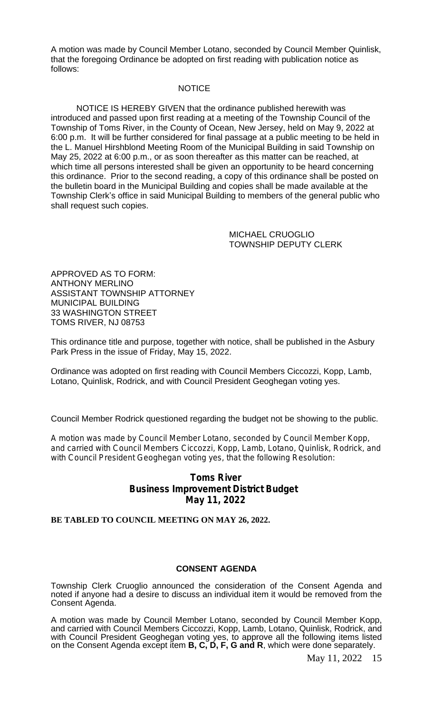A motion was made by Council Member Lotano, seconded by Council Member Quinlisk, that the foregoing Ordinance be adopted on first reading with publication notice as follows:

#### **NOTICE**

NOTICE IS HEREBY GIVEN that the ordinance published herewith was introduced and passed upon first reading at a meeting of the Township Council of the Township of Toms River, in the County of Ocean, New Jersey, held on May 9, 2022 at 6:00 p.m. It will be further considered for final passage at a public meeting to be held in the L. Manuel Hirshblond Meeting Room of the Municipal Building in said Township on May 25, 2022 at 6:00 p.m., or as soon thereafter as this matter can be reached, at which time all persons interested shall be given an opportunity to be heard concerning this ordinance. Prior to the second reading, a copy of this ordinance shall be posted on the bulletin board in the Municipal Building and copies shall be made available at the Township Clerk's office in said Municipal Building to members of the general public who shall request such copies.

> MICHAEL CRUOGLIO TOWNSHIP DEPUTY CLERK

APPROVED AS TO FORM: ANTHONY MERLINO ASSISTANT TOWNSHIP ATTORNEY MUNICIPAL BUILDING 33 WASHINGTON STREET TOMS RIVER, NJ 08753

This ordinance title and purpose, together with notice, shall be published in the Asbury Park Press in the issue of Friday, May 15, 2022.

Ordinance was adopted on first reading with Council Members Ciccozzi, Kopp, Lamb, Lotano, Quinlisk, Rodrick, and with Council President Geoghegan voting yes.

Council Member Rodrick questioned regarding the budget not be showing to the public.

A motion was made by Council Member Lotano, seconded by Council Member Kopp, and carried with Council Members Ciccozzi, Kopp, Lamb, Lotano, Quinlisk, Rodrick, and with Council President Geoghegan voting yes, that the following Resolution:

# **Toms River Business Improvement District Budget May 11, 2022**

**BE TABLED TO COUNCIL MEETING ON MAY 26, 2022.**

#### **CONSENT AGENDA**

Township Clerk Cruoglio announced the consideration of the Consent Agenda and noted if anyone had a desire to discuss an individual item it would be removed from the Consent Agenda.

A motion was made by Council Member Lotano, seconded by Council Member Kopp, and carried with Council Members Ciccozzi, Kopp, Lamb, Lotano, Quinlisk, Rodrick, and with Council President Geoghegan voting yes, to approve all the following items listed on the Consent Agenda except item **B, C, D, F, G and R**, which were done separately.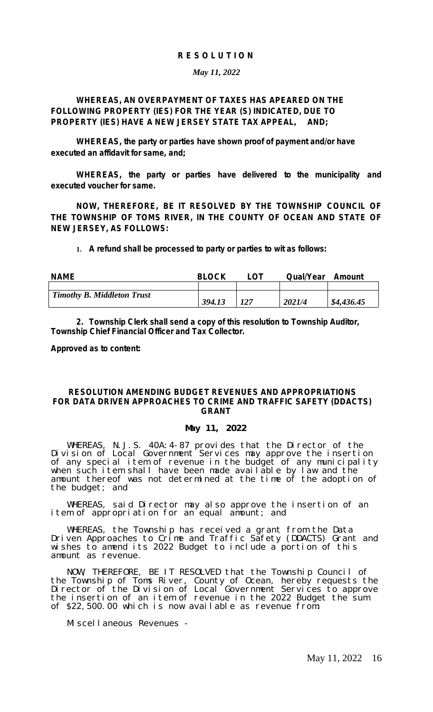#### *R E S O L U T I O N*

#### *May 11, 2022*

## *WHEREAS, AN OVERPAYMENT OF TAXES HAS APEARED ON THE FOLLOWING PROPERTY (IES) FOR THE YEAR (S) INDICATED, DUE TO PROPERTY (IES) HAVE A NEW JERSEY STATE TAX APPEAL, AND;*

*WHEREAS, the party or parties have shown proof of payment and/or have executed an affidavit for same, and;*

*WHEREAS, the party or parties have delivered to the municipality and executed voucher for same.*

*NOW, THEREFORE, BE IT RESOLVED BY THE TOWNSHIP COUNCIL OF THE TOWNSHIP OF TOMS RIVER, IN THE COUNTY OF OCEAN AND STATE OF NEW JERSEY, AS FOLLOWS:*

**1.** *A refund shall be processed to party or parties to wit as follows:*

| <b>NAME</b>                       | <b>BLOCK</b> |     | <b>Qual/Year</b> | Amount     |
|-----------------------------------|--------------|-----|------------------|------------|
|                                   |              |     |                  |            |
| <b>Timothy B. Middleton Trust</b> |              |     |                  |            |
|                                   | 394.13       | 127 | 2021/4           | \$4,436.45 |

*2. Township Clerk shall send a copy of this resolution to Township Auditor, Township Chief Financial Officer and Tax Collector.*

*Approved as to content:*

#### **RESOLUTION AMENDING BUDGET REVENUES AND APPROPRIATIONS FOR DATA DRIVEN APPROACHES TO CRIME AND TRAFFIC SAFETY (DDACTS) GRANT**

#### **May 11, 2022**

WHEREAS, N.J.S. 40A:4-87 provides that the Director of the Division of Local Government Services may approve the insertion of any special item of revenue in the budget of any municipality when such item shall have been made available by law and the amount thereof was not determined at the time of the adoption of the budget; and

WHEREAS, said Director may also approve the insertion of an item of appropriation for an equal amount; and

WHEREAS, the Township has received a grant from the Data Driven Approaches to Crime and Traffic Safety (DDACTS) Grant and wishes to amend its 2022 Budget to include a portion of this amount as revenue.

NOW, THEREFORE, BE IT RESOLVED that the Township Council of the Township of Toms River, County of Ocean, hereby requests the Director of the Division of Local Government Services to approve the insertion of an item of revenue in the 2022 Budget the sum of \$22,500.00 which is now available as revenue from:

Miscellaneous Revenues -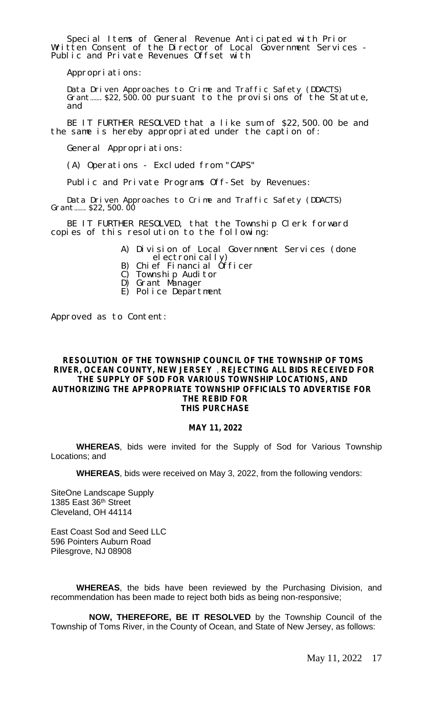Special Items of General Revenue Anticipated with Prior Written Consent of the Director of Local Government Services - Public and Private Revenues Offset with

Appropriations:

Data Driven Approaches to Crime and Traffic Safety (DDACTS) Grant…….\$22,500.00 pursuant to the provisions of the Statute, and

BE IT FURTHER RESOLVED that a like sum of \$22,500.00 be and the same is hereby appropriated under the caption of:

General Appropriations:

(A) Operations - Excluded from "CAPS"

Public and Private Programs Off-Set by Revenues:

Data Driven Approaches to Crime and Traffic Safety (DDACTS) Grant…….\$22,500.00

BE IT FURTHER RESOLVED, that the Township Clerk forward copies of this resolution to the following:

- A) Division of Local Government Services (done el ectronically)
- B) Chief Financial Officer
- C) Township Auditor
- D) Grant Manager
- E) Police Department

Approved as to Content:

#### **RESOLUTION OF THE TOWNSHIP COUNCIL OF THE TOWNSHIP OF TOMS RIVER, OCEAN COUNTY, NEW JERSEY** , **REJECTING ALL BIDS RECEIVED FOR THE SUPPLY OF SOD FOR VARIOUS TOWNSHIP LOCATIONS, AND AUTHORIZING THE APPROPRIATE TOWNSHIP OFFICIALS TO ADVERTISE FOR THE REBID FOR THIS PURCHASE**

#### **MAY 11, 2022**

**WHEREAS**, bids were invited for the Supply of Sod for Various Township Locations; and

**WHEREAS**, bids were received on May 3, 2022, from the following vendors:

SiteOne Landscape Supply 1385 East 36th Street Cleveland, OH 44114

East Coast Sod and Seed LLC 596 Pointers Auburn Road Pilesgrove, NJ 08908

**WHEREAS**, the bids have been reviewed by the Purchasing Division, and recommendation has been made to reject both bids as being non-responsive;

**NOW, THEREFORE, BE IT RESOLVED** by the Township Council of the Township of Toms River, in the County of Ocean, and State of New Jersey, as follows: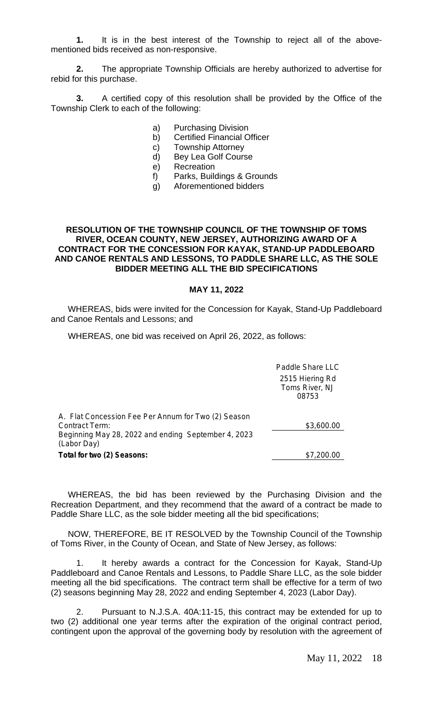**1.** It is in the best interest of the Township to reject all of the abovementioned bids received as non-responsive.

**2.** The appropriate Township Officials are hereby authorized to advertise for rebid for this purchase.

**3.** A certified copy of this resolution shall be provided by the Office of the Township Clerk to each of the following:

- a) Purchasing Division
- b) Certified Financial Officer
- c) Township Attorney
- d) Bey Lea Golf Course
- e) Recreation
- f) Parks, Buildings & Grounds
- g) Aforementioned bidders

#### **RESOLUTION OF THE TOWNSHIP COUNCIL OF THE TOWNSHIP OF TOMS RIVER, OCEAN COUNTY, NEW JERSEY, AUTHORIZING AWARD OF A CONTRACT FOR THE CONCESSION FOR KAYAK, STAND-UP PADDLEBOARD AND CANOE RENTALS AND LESSONS, TO PADDLE SHARE LLC, AS THE SOLE BIDDER MEETING ALL THE BID SPECIFICATIONS**

#### **MAY 11, 2022**

WHEREAS, bids were invited for the Concession for Kayak, Stand-Up Paddleboard and Canoe Rentals and Lessons; and

WHEREAS, one bid was received on April 26, 2022, as follows:

|                                                                                                                                             | Paddle Share LLC<br>2515 Hiering Rd<br>Toms River, NJ<br>08753 |
|---------------------------------------------------------------------------------------------------------------------------------------------|----------------------------------------------------------------|
| A. Flat Concession Fee Per Annum for Two (2) Season<br>Contract Term:<br>Beginning May 28, 2022 and ending September 4, 2023<br>(Labor Day) | \$3,600.00                                                     |
| Total for two (2) Seasons:                                                                                                                  | \$7,200.00                                                     |

WHEREAS, the bid has been reviewed by the Purchasing Division and the Recreation Department, and they recommend that the award of a contract be made to Paddle Share LLC, as the sole bidder meeting all the bid specifications;

NOW, THEREFORE, BE IT RESOLVED by the Township Council of the Township of Toms River, in the County of Ocean, and State of New Jersey, as follows:

1. It hereby awards a contract for the Concession for Kayak, Stand-Up Paddleboard and Canoe Rentals and Lessons, to Paddle Share LLC, as the sole bidder meeting all the bid specifications. The contract term shall be effective for a term of two (2) seasons beginning May 28, 2022 and ending September 4, 2023 (Labor Day).

2. Pursuant to N.J.S.A. 40A:11-15, this contract may be extended for up to two (2) additional one year terms after the expiration of the original contract period, contingent upon the approval of the governing body by resolution with the agreement of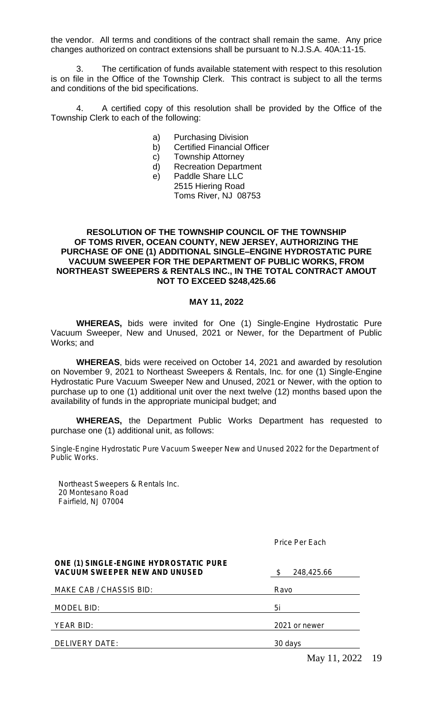the vendor. All terms and conditions of the contract shall remain the same. Any price changes authorized on contract extensions shall be pursuant to N.J.S.A. 40A:11-15.

3. The certification of funds available statement with respect to this resolution is on file in the Office of the Township Clerk. This contract is subject to all the terms and conditions of the bid specifications.

4. A certified copy of this resolution shall be provided by the Office of the Township Clerk to each of the following:

- a) Purchasing Division
- b) Certified Financial Officer
- c) Township Attorney
- d) Recreation Department
- e) Paddle Share LLC 2515 Hiering Road Toms River, NJ 08753

#### **RESOLUTION OF THE TOWNSHIP COUNCIL OF THE TOWNSHIP OF TOMS RIVER, OCEAN COUNTY, NEW JERSEY, AUTHORIZING THE PURCHASE OF ONE (1) ADDITIONAL SINGLE–ENGINE HYDROSTATIC PURE VACUUM SWEEPER FOR THE DEPARTMENT OF PUBLIC WORKS, FROM NORTHEAST SWEEPERS & RENTALS INC., IN THE TOTAL CONTRACT AMOUT NOT TO EXCEED \$248,425.66**

#### **MAY 11, 2022**

**WHEREAS,** bids were invited for One (1) Single-Engine Hydrostatic Pure Vacuum Sweeper, New and Unused, 2021 or Newer, for the Department of Public Works; and

**WHEREAS**, bids were received on October 14, 2021 and awarded by resolution on November 9, 2021 to Northeast Sweepers & Rentals, Inc. for one (1) Single-Engine Hydrostatic Pure Vacuum Sweeper New and Unused, 2021 or Newer, with the option to purchase up to one (1) additional unit over the next twelve (12) months based upon the availability of funds in the appropriate municipal budget; and

**WHEREAS,** the Department Public Works Department has requested to purchase one (1) additional unit, as follows:

Single-Engine Hydrostatic Pure Vacuum Sweeper New and Unused 2022 for the Department of Public Works.

Northeast Sweepers & Rentals Inc. 20 Montesano Road Fairfield, NJ 07004

Price Per Each

| <b>ONE (1) SINGLE-ENGINE HYDROSTATIC PURE</b><br><b>VACUUM SWEEPER NEW AND UNUSED</b> | 248,425.66    |
|---------------------------------------------------------------------------------------|---------------|
| MAKE CAB / CHASSIS BID:                                                               | Ravo          |
| MODEL BID:                                                                            | 5i            |
| YEAR BID:                                                                             | 2021 or newer |
| DELIVERY DATE:                                                                        | 30 days       |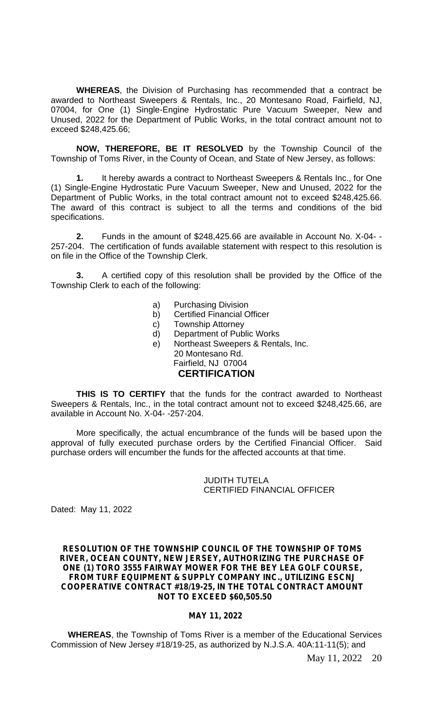**WHEREAS**, the Division of Purchasing has recommended that a contract be awarded to Northeast Sweepers & Rentals, Inc., 20 Montesano Road, Fairfield, NJ, 07004, for One (1) Single-Engine Hydrostatic Pure Vacuum Sweeper, New and Unused, 2022 for the Department of Public Works, in the total contract amount not to exceed \$248,425.66;

**NOW, THEREFORE, BE IT RESOLVED** by the Township Council of the Township of Toms River, in the County of Ocean, and State of New Jersey, as follows:

**1.** It hereby awards a contract to Northeast Sweepers & Rentals Inc., for One (1) Single-Engine Hydrostatic Pure Vacuum Sweeper, New and Unused, 2022 for the Department of Public Works, in the total contract amount not to exceed \$248,425.66. The award of this contract is subject to all the terms and conditions of the bid specifications.

**2.** Funds in the amount of \$248,425.66 are available in Account No. X-04- - 257-204. The certification of funds available statement with respect to this resolution is on file in the Office of the Township Clerk.

**3.** A certified copy of this resolution shall be provided by the Office of the Township Clerk to each of the following:

- a) Purchasing Division
- b) Certified Financial Officer
- c) Township Attorney
- d) Department of Public Works
- e) Northeast Sweepers & Rentals, Inc. 20 Montesano Rd. Fairfield, NJ 07004 **CERTIFICATION**

**THIS IS TO CERTIFY** that the funds for the contract awarded to Northeast Sweepers & Rentals, Inc., in the total contract amount not to exceed \$248,425.66, are available in Account No. X-04- -257-204.

More specifically, the actual encumbrance of the funds will be based upon the approval of fully executed purchase orders by the Certified Financial Officer. Said purchase orders will encumber the funds for the affected accounts at that time.

#### JUDITH TUTELA CERTIFIED FINANCIAL OFFICER

Dated: May 11, 2022

#### **RESOLUTION OF THE TOWNSHIP COUNCIL OF THE TOWNSHIP OF TOMS RIVER, OCEAN COUNTY, NEW JERSEY, AUTHORIZING THE PURCHASE OF ONE (1) TORO 3555 FAIRWAY MOWER FOR THE BEY LEA GOLF COURSE, FROM TURF EQUIPMENT & SUPPLY COMPANY INC., UTILIZING ESCNJ COOPERATIVE CONTRACT #18/19-25, IN THE TOTAL CONTRACT AMOUNT NOT TO EXCEED \$60,505.50**

#### **MAY 11, 2022**

**WHEREAS**, the Township of Toms River is a member of the Educational Services Commission of New Jersey #18/19-25, as authorized by N.J.S.A. 40A:11-11(5); and

May 11, 2022 20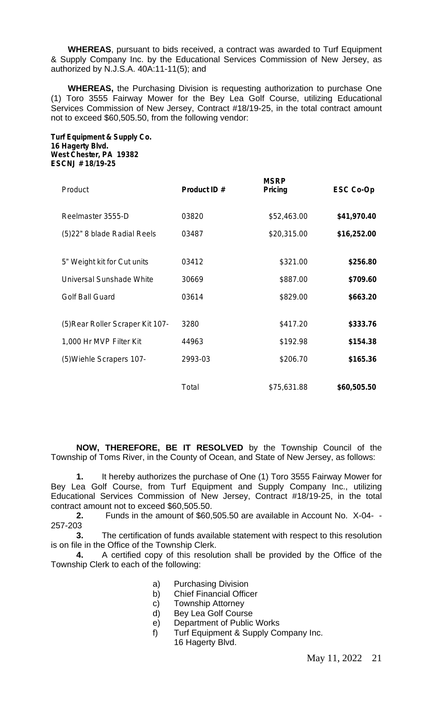**WHEREAS**, pursuant to bids received, a contract was awarded to Turf Equipment & Supply Company Inc. by the Educational Services Commission of New Jersey, as authorized by N.J.S.A. 40A:11-11(5); and

**WHEREAS,** the Purchasing Division is requesting authorization to purchase One (1) Toro 3555 Fairway Mower for the Bey Lea Golf Course, utilizing Educational Services Commission of New Jersey, Contract #18/19-25, in the total contract amount not to exceed \$60,505.50, from the following vendor:

**Turf Equipment & Supply Co. 16 Hagerty Blvd. West Chester, PA 19382 ESCNJ # 18/19-25**

| Product                          | Product ID # | <b>MSRP</b><br>Pricing | ESC Co-Op   |
|----------------------------------|--------------|------------------------|-------------|
| Reelmaster 3555-D                | 03820        | \$52,463.00            | \$41,970.40 |
| (5)22" 8 blade Radial Reels      | 03487        | \$20,315.00            | \$16,252.00 |
|                                  |              |                        |             |
| 5" Weight kit for Cut units      | 03412        | \$321.00               | \$256.80    |
| Universal Sunshade White         | 30669        | \$887.00               | \$709.60    |
| <b>Golf Ball Guard</b>           | 03614        | \$829.00               | \$663.20    |
|                                  |              |                        |             |
| (5) Rear Roller Scraper Kit 107- | 3280         | \$417.20               | \$333.76    |
| 1,000 Hr MVP Filter Kit          | 44963        | \$192.98               | \$154.38    |
| (5) Wiehle Scrapers 107-         | 2993-03      | \$206.70               | \$165.36    |
|                                  |              |                        |             |
|                                  | Total        | \$75,631.88            | \$60,505.50 |

**NOW, THEREFORE, BE IT RESOLVED** by the Township Council of the Township of Toms River, in the County of Ocean, and State of New Jersey, as follows:

**1.** It hereby authorizes the purchase of One (1) Toro 3555 Fairway Mower for Bey Lea Golf Course, from Turf Equipment and Supply Company Inc., utilizing Educational Services Commission of New Jersey, Contract #18/19-25, in the total contract amount not to exceed \$60,505.50.

**2.** Funds in the amount of \$60,505.50 are available in Account No. X-04- - 257-203

**3.** The certification of funds available statement with respect to this resolution is on file in the Office of the Township Clerk.

**4.** A certified copy of this resolution shall be provided by the Office of the Township Clerk to each of the following:

- a) Purchasing Division
- b) Chief Financial Officer
- c) Township Attorney
- d) Bey Lea Golf Course
- e) Department of Public Works
- f) Turf Equipment & Supply Company Inc. 16 Hagerty Blvd.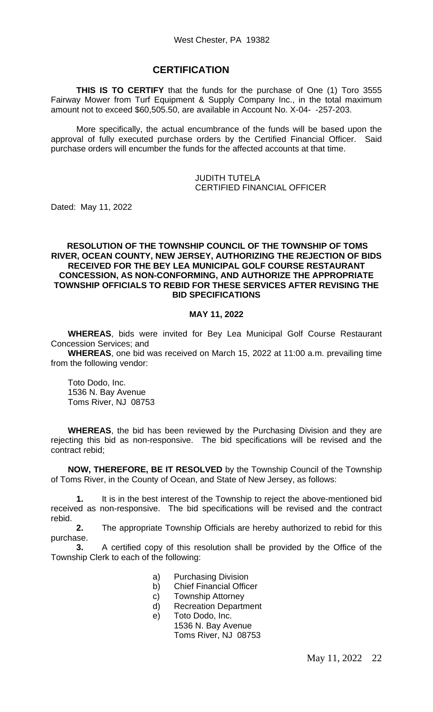## **CERTIFICATION**

**THIS IS TO CERTIFY** that the funds for the purchase of One (1) Toro 3555 Fairway Mower from Turf Equipment & Supply Company Inc., in the total maximum amount not to exceed \$60,505.50, are available in Account No. X-04- -257-203.

More specifically, the actual encumbrance of the funds will be based upon the approval of fully executed purchase orders by the Certified Financial Officer. Said purchase orders will encumber the funds for the affected accounts at that time.

#### JUDITH TUTELA CERTIFIED FINANCIAL OFFICER

Dated: May 11, 2022

#### **RESOLUTION OF THE TOWNSHIP COUNCIL OF THE TOWNSHIP OF TOMS RIVER, OCEAN COUNTY, NEW JERSEY, AUTHORIZING THE REJECTION OF BIDS RECEIVED FOR THE BEY LEA MUNICIPAL GOLF COURSE RESTAURANT CONCESSION, AS NON-CONFORMING, AND AUTHORIZE THE APPROPRIATE TOWNSHIP OFFICIALS TO REBID FOR THESE SERVICES AFTER REVISING THE BID SPECIFICATIONS**

#### **MAY 11, 2022**

**WHEREAS**, bids were invited for Bey Lea Municipal Golf Course Restaurant Concession Services; and

**WHEREAS**, one bid was received on March 15, 2022 at 11:00 a.m. prevailing time from the following vendor:

Toto Dodo, Inc. 1536 N. Bay Avenue Toms River, NJ 08753

**WHEREAS**, the bid has been reviewed by the Purchasing Division and they are rejecting this bid as non-responsive. The bid specifications will be revised and the contract rebid;

**NOW, THEREFORE, BE IT RESOLVED** by the Township Council of the Township of Toms River, in the County of Ocean, and State of New Jersey, as follows:

**1.** It is in the best interest of the Township to reject the above-mentioned bid received as non-responsive. The bid specifications will be revised and the contract rebid.

**2.** The appropriate Township Officials are hereby authorized to rebid for this purchase.

**3.** A certified copy of this resolution shall be provided by the Office of the Township Clerk to each of the following:

- a) Purchasing Division
- b) Chief Financial Officer
- c) Township Attorney
- d) Recreation Department
- e) Toto Dodo, Inc. 1536 N. Bay Avenue Toms River, NJ 08753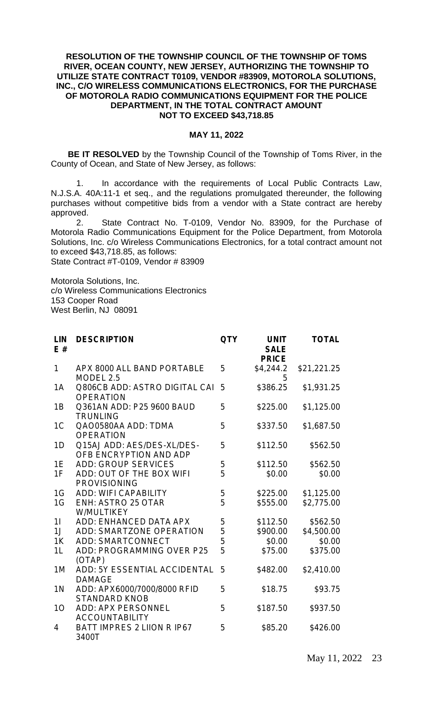#### **RESOLUTION OF THE TOWNSHIP COUNCIL OF THE TOWNSHIP OF TOMS RIVER, OCEAN COUNTY, NEW JERSEY, AUTHORIZING THE TOWNSHIP TO UTILIZE STATE CONTRACT T0109, VENDOR #83909, MOTOROLA SOLUTIONS, INC., C/O WIRELESS COMMUNICATIONS ELECTRONICS, FOR THE PURCHASE OF MOTOROLA RADIO COMMUNICATIONS EQUIPMENT FOR THE POLICE DEPARTMENT, IN THE TOTAL CONTRACT AMOUNT NOT TO EXCEED \$43,718.85**

#### **MAY 11, 2022**

**BE IT RESOLVED** by the Township Council of the Township of Toms River, in the County of Ocean, and State of New Jersey, as follows:

1. In accordance with the requirements of Local Public Contracts Law, N.J.S.A. 40A:11-1 et seq., and the regulations promulgated thereunder, the following purchases without competitive bids from a vendor with a State contract are hereby approved.

2. State Contract No. T-0109, Vendor No. 83909, for the Purchase of Motorola Radio Communications Equipment for the Police Department, from Motorola Solutions, Inc. c/o Wireless Communications Electronics, for a total contract amount not to exceed \$43,718.85, as follows:

State Contract #T-0109, Vendor # 83909

Motorola Solutions, Inc. c/o Wireless Communications Electronics 153 Cooper Road West Berlin, NJ 08091

| LIN<br>E#      | <b>DESCRIPTION</b>                                   | <b>QTY</b> | <b>UNIT</b><br><b>SALE</b><br><b>PRICE</b> | <b>TOTAL</b> |
|----------------|------------------------------------------------------|------------|--------------------------------------------|--------------|
| 1              | APX 8000 ALL BAND PORTABLE<br>MODEL 2.5              | 5          | \$4,244.2<br>5                             | \$21,221.25  |
| 1A             | Q806CB ADD: ASTRO DIGITAL CAI<br><b>OPERATION</b>    | 5          | \$386.25                                   | \$1,931.25   |
| 1B             | Q361AN ADD: P25 9600 BAUD<br><b>TRUNLING</b>         | 5          | \$225.00                                   | \$1,125.00   |
| 1 <sup>C</sup> | QAO0580AA ADD: TDMA<br><b>OPERATION</b>              | 5          | \$337.50                                   | \$1,687.50   |
| 1D             | Q15AJ ADD: AES/DES-XL/DES-<br>OFB ENCRYPTION AND ADP | 5          | \$112.50                                   | \$562.50     |
| 1E             | <b>ADD: GROUP SERVICES</b>                           | 5          | \$112.50                                   | \$562.50     |
| 1F             | ADD: OUT OF THE BOX WIFI<br><b>PROVISIONING</b>      | 5          | \$0.00                                     | \$0.00       |
| 1G             | <b>ADD: WIFI CAPABILITY</b>                          | 5          | \$225.00                                   | \$1,125.00   |
| 1G             | <b>ENH: ASTRO 25 OTAR</b><br>W/MULTIKEY              | 5          | \$555.00                                   | \$2,775.00   |
| 11             | ADD: ENHANCED DATA APX                               | 5          | \$112.50                                   | \$562.50     |
| 1J             | <b>ADD: SMARTZONE OPERATION</b>                      | 5          | \$900.00                                   | \$4,500.00   |
| 1K             | <b>ADD: SMARTCONNECT</b>                             | 5          | \$0.00                                     | \$0.00       |
| 1L             | ADD: PROGRAMMING OVER P25<br>(OTAP)                  | 5          | \$75.00                                    | \$375.00     |
| 1M             | ADD: 5Y ESSENTIAL ACCIDENTAL<br><b>DAMAGE</b>        | 5          | \$482.00                                   | \$2,410.00   |
| 1 <sub>N</sub> | ADD: APX6000/7000/8000 RFID<br><b>STANDARD KNOB</b>  | 5          | \$18.75                                    | \$93.75      |
| 10             | ADD: APX PERSONNEL<br><b>ACCOUNTABILITY</b>          | 5          | \$187.50                                   | \$937.50     |
| 4              | BATT IMPRES 2 LIION R IP67<br>3400T                  | 5          | \$85.20                                    | \$426.00     |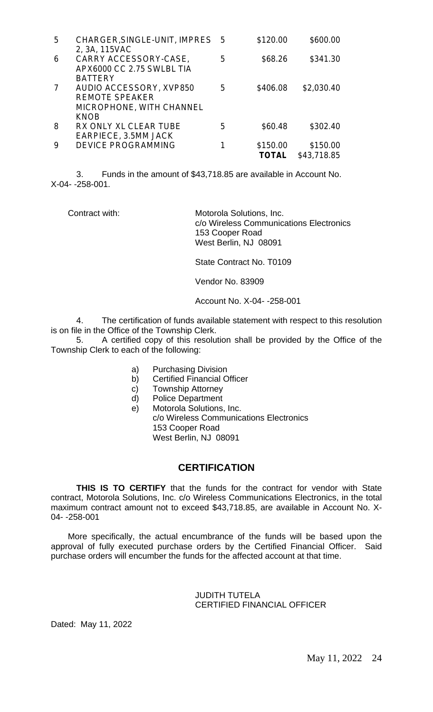| 5 | CHARGER, SINGLE-UNIT, IMPRES 5                                      |   | \$120.00          | \$600.00                |
|---|---------------------------------------------------------------------|---|-------------------|-------------------------|
| 6 | 2, 3A, 115VAC<br>CARRY ACCESSORY-CASE,<br>APX6000 CC 2.75 SWLBL TIA | 5 | \$68.26           | \$341.30                |
| 7 | <b>BATTERY</b><br>AUDIO ACCESSORY, XVP850                           | 5 | \$406.08          | \$2,030.40              |
|   | <b>REMOTE SPEAKER</b><br>MICROPHONE, WITH CHANNEL                   |   |                   |                         |
|   | <b>KNOB</b>                                                         |   |                   |                         |
| 8 | RX ONLY XL CLEAR TUBE<br>EARPIECE, 3.5MM JACK                       | 5 | \$60.48           | \$302.40                |
| 9 | <b>DEVICE PROGRAMMING</b>                                           |   | \$150.00<br>TOTAL | \$150.00<br>\$43,718.85 |
|   |                                                                     |   |                   |                         |

3. Funds in the amount of \$43,718.85 are available in Account No. X-04- -258-001.

Contract with: Motorola Solutions, Inc. c/o Wireless Communications Electronics 153 Cooper Road West Berlin, NJ 08091

State Contract No. T0109

Vendor No. 83909

Account No. X-04- -258-001

4. The certification of funds available statement with respect to this resolution is on file in the Office of the Township Clerk.

5. A certified copy of this resolution shall be provided by the Office of the Township Clerk to each of the following:

- a) Purchasing Division
- b) Certified Financial Officer
- c) Township Attorney
- d) Police Department
- e) Motorola Solutions, Inc. c/o Wireless Communications Electronics 153 Cooper Road West Berlin, NJ 08091

# **CERTIFICATION**

**THIS IS TO CERTIFY** that the funds for the contract for vendor with State contract, Motorola Solutions, Inc. c/o Wireless Communications Electronics, in the total maximum contract amount not to exceed \$43,718.85, are available in Account No. X-04- -258-001

More specifically, the actual encumbrance of the funds will be based upon the approval of fully executed purchase orders by the Certified Financial Officer. Said purchase orders will encumber the funds for the affected account at that time.

#### JUDITH TUTELA CERTIFIED FINANCIAL OFFICER

Dated: May 11, 2022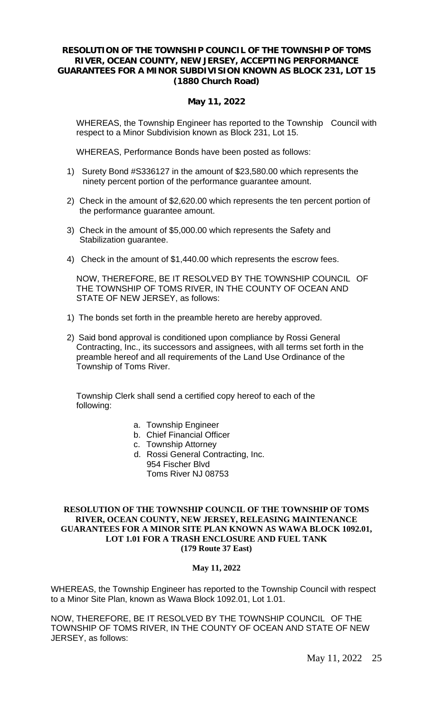#### **RESOLUTION OF THE TOWNSHIP COUNCIL OF THE TOWNSHIP OF TOMS RIVER, OCEAN COUNTY, NEW JERSEY, ACCEPTING PERFORMANCE GUARANTEES FOR A MINOR SUBDIVISION KNOWN AS BLOCK 231, LOT 15 (1880 Church Road)**

## **May 11, 2022**

WHEREAS, the Township Engineer has reported to the Township Council with respect to a Minor Subdivision known as Block 231, Lot 15.

WHEREAS, Performance Bonds have been posted as follows:

- 1) Surety Bond #S336127 in the amount of \$23,580.00 which represents the ninety percent portion of the performance guarantee amount.
- 2) Check in the amount of \$2,620.00 which represents the ten percent portion of the performance guarantee amount.
- 3) Check in the amount of \$5,000.00 which represents the Safety and Stabilization guarantee.
- 4) Check in the amount of \$1,440.00 which represents the escrow fees.

NOW, THEREFORE, BE IT RESOLVED BY THE TOWNSHIP COUNCIL OF THE TOWNSHIP OF TOMS RIVER, IN THE COUNTY OF OCEAN AND STATE OF NEW JERSEY, as follows:

- 1) The bonds set forth in the preamble hereto are hereby approved.
- 2) Said bond approval is conditioned upon compliance by Rossi General Contracting, Inc., its successors and assignees, with all terms set forth in the preamble hereof and all requirements of the Land Use Ordinance of the Township of Toms River.

Township Clerk shall send a certified copy hereof to each of the following:

- a. Township Engineer
- b. Chief Financial Officer
- c. Township Attorney
- d. Rossi General Contracting, Inc. 954 Fischer Blvd Toms River NJ 08753

#### **RESOLUTION OF THE TOWNSHIP COUNCIL OF THE TOWNSHIP OF TOMS RIVER, OCEAN COUNTY, NEW JERSEY, RELEASING MAINTENANCE GUARANTEES FOR A MINOR SITE PLAN KNOWN AS WAWA BLOCK 1092.01, LOT 1.01 FOR A TRASH ENCLOSURE AND FUEL TANK (179 Route 37 East)**

## **May 11, 2022**

WHEREAS, the Township Engineer has reported to the Township Council with respect to a Minor Site Plan, known as Wawa Block 1092.01, Lot 1.01.

NOW, THEREFORE, BE IT RESOLVED BY THE TOWNSHIP COUNCIL OF THE TOWNSHIP OF TOMS RIVER, IN THE COUNTY OF OCEAN AND STATE OF NEW JERSEY, as follows: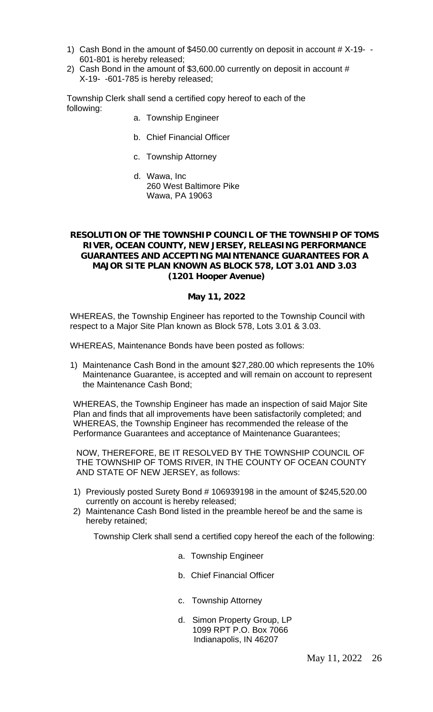- 1) Cash Bond in the amount of \$450.00 currently on deposit in account # X-19- 601-801 is hereby released;
- 2) Cash Bond in the amount of \$3,600.00 currently on deposit in account # X-19- -601-785 is hereby released;

Township Clerk shall send a certified copy hereof to each of the following:

- a. Township Engineer
- b. Chief Financial Officer
- c. Township Attorney
- d. Wawa, Inc 260 West Baltimore Pike Wawa, PA 19063

#### **RESOLUTION OF THE TOWNSHIP COUNCIL OF THE TOWNSHIP OF TOMS RIVER, OCEAN COUNTY, NEW JERSEY, RELEASING PERFORMANCE GUARANTEES AND ACCEPTING MAINTENANCE GUARANTEES FOR A MAJOR SITE PLAN KNOWN AS BLOCK 578, LOT 3.01 AND 3.03 (1201 Hooper Avenue)**

#### **May 11, 2022**

WHEREAS, the Township Engineer has reported to the Township Council with respect to a Major Site Plan known as Block 578, Lots 3.01 & 3.03.

WHEREAS, Maintenance Bonds have been posted as follows:

1) Maintenance Cash Bond in the amount \$27,280.00 which represents the 10% Maintenance Guarantee, is accepted and will remain on account to represent the Maintenance Cash Bond;

WHEREAS, the Township Engineer has made an inspection of said Major Site Plan and finds that all improvements have been satisfactorily completed; and WHEREAS, the Township Engineer has recommended the release of the Performance Guarantees and acceptance of Maintenance Guarantees;

NOW, THEREFORE, BE IT RESOLVED BY THE TOWNSHIP COUNCIL OF THE TOWNSHIP OF TOMS RIVER, IN THE COUNTY OF OCEAN COUNTY AND STATE OF NEW JERSEY, as follows:

- 1) Previously posted Surety Bond # 106939198 in the amount of \$245,520.00 currently on account is hereby released;
- 2) Maintenance Cash Bond listed in the preamble hereof be and the same is hereby retained;

Township Clerk shall send a certified copy hereof the each of the following:

- a. Township Engineer
- b. Chief Financial Officer
- c. Township Attorney
- d. Simon Property Group, LP 1099 RPT P.O. Box 7066 Indianapolis, IN 46207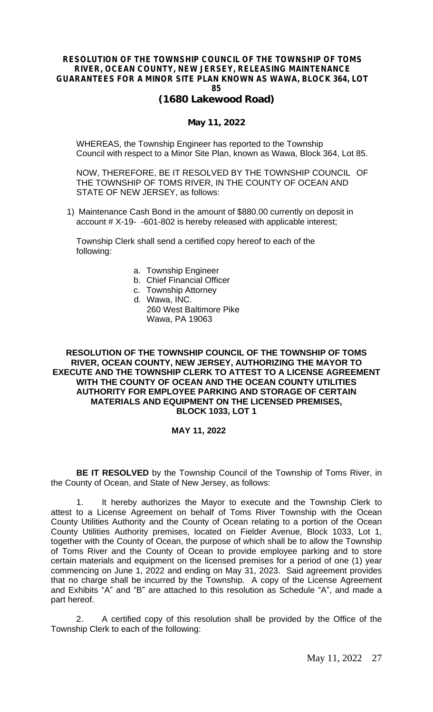## **RESOLUTION OF THE TOWNSHIP COUNCIL OF THE TOWNSHIP OF TOMS RIVER, OCEAN COUNTY, NEW JERSEY, RELEASING MAINTENANCE GUARANTEES FOR A MINOR SITE PLAN KNOWN AS WAWA, BLOCK 364, LOT 85**

# **(1680 Lakewood Road)**

#### **May 11, 2022**

WHEREAS, the Township Engineer has reported to the Township Council with respect to a Minor Site Plan, known as Wawa, Block 364, Lot 85.

NOW, THEREFORE, BE IT RESOLVED BY THE TOWNSHIP COUNCIL OF THE TOWNSHIP OF TOMS RIVER, IN THE COUNTY OF OCEAN AND STATE OF NEW JERSEY, as follows:

1) Maintenance Cash Bond in the amount of \$880.00 currently on deposit in account # X-19- -601-802 is hereby released with applicable interest;

Township Clerk shall send a certified copy hereof to each of the following:

- a. Township Engineer
- b. Chief Financial Officer
- c. Township Attorney
- d. Wawa, INC. 260 West Baltimore Pike Wawa, PA 19063

#### **RESOLUTION OF THE TOWNSHIP COUNCIL OF THE TOWNSHIP OF TOMS RIVER, OCEAN COUNTY, NEW JERSEY, AUTHORIZING THE MAYOR TO EXECUTE AND THE TOWNSHIP CLERK TO ATTEST TO A LICENSE AGREEMENT WITH THE COUNTY OF OCEAN AND THE OCEAN COUNTY UTILITIES AUTHORITY FOR EMPLOYEE PARKING AND STORAGE OF CERTAIN MATERIALS AND EQUIPMENT ON THE LICENSED PREMISES, BLOCK 1033, LOT 1**

#### **MAY 11, 2022**

**BE IT RESOLVED** by the Township Council of the Township of Toms River, in the County of Ocean, and State of New Jersey, as follows:

1. It hereby authorizes the Mayor to execute and the Township Clerk to attest to a License Agreement on behalf of Toms River Township with the Ocean County Utilities Authority and the County of Ocean relating to a portion of the Ocean County Utilities Authority premises, located on Fielder Avenue, Block 1033, Lot 1, together with the County of Ocean, the purpose of which shall be to allow the Township of Toms River and the County of Ocean to provide employee parking and to store certain materials and equipment on the licensed premises for a period of one (1) year commencing on June 1, 2022 and ending on May 31, 2023. Said agreement provides that no charge shall be incurred by the Township. A copy of the License Agreement and Exhibits "A" and "B" are attached to this resolution as Schedule "A", and made a part hereof.

2. A certified copy of this resolution shall be provided by the Office of the Township Clerk to each of the following: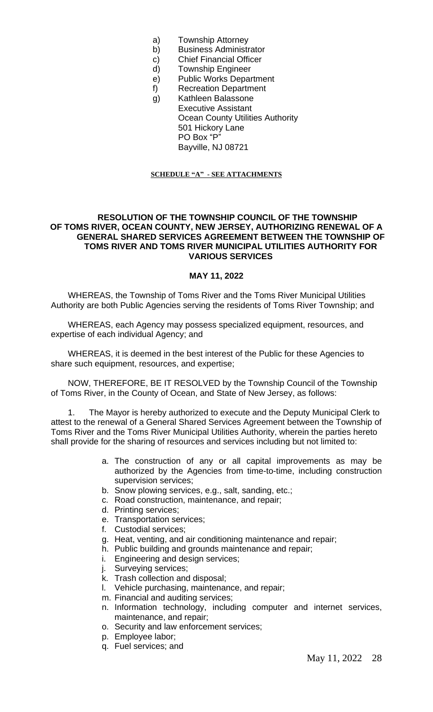- a) Township Attorney
- b) Business Administrator
- c) Chief Financial Officer
- d) Township Engineer
- e) Public Works Department
- f) Recreation Department
- g) Kathleen Balassone
- Executive Assistant Ocean County Utilities Authority 501 Hickory Lane PO Box "P" Bayville, NJ 08721

#### **SCHEDULE "A" - SEE ATTACHMENTS**

#### **RESOLUTION OF THE TOWNSHIP COUNCIL OF THE TOWNSHIP OF TOMS RIVER, OCEAN COUNTY, NEW JERSEY, AUTHORIZING RENEWAL OF A GENERAL SHARED SERVICES AGREEMENT BETWEEN THE TOWNSHIP OF TOMS RIVER AND TOMS RIVER MUNICIPAL UTILITIES AUTHORITY FOR VARIOUS SERVICES**

#### **MAY 11, 2022**

WHEREAS, the Township of Toms River and the Toms River Municipal Utilities Authority are both Public Agencies serving the residents of Toms River Township; and

WHEREAS, each Agency may possess specialized equipment, resources, and expertise of each individual Agency; and

WHEREAS, it is deemed in the best interest of the Public for these Agencies to share such equipment, resources, and expertise;

NOW, THEREFORE, BE IT RESOLVED by the Township Council of the Township of Toms River, in the County of Ocean, and State of New Jersey, as follows:

1. The Mayor is hereby authorized to execute and the Deputy Municipal Clerk to attest to the renewal of a General Shared Services Agreement between the Township of Toms River and the Toms River Municipal Utilities Authority, wherein the parties hereto shall provide for the sharing of resources and services including but not limited to:

- a. The construction of any or all capital improvements as may be authorized by the Agencies from time-to-time, including construction supervision services;
- b. Snow plowing services, e.g., salt, sanding, etc.;
- c. Road construction, maintenance, and repair;
- d. Printing services;
- e. Transportation services;
- f. Custodial services;
- g. Heat, venting, and air conditioning maintenance and repair;
- h. Public building and grounds maintenance and repair;
- i. Engineering and design services;
- j. Surveying services;
- k. Trash collection and disposal;
- l. Vehicle purchasing, maintenance, and repair;
- m. Financial and auditing services;
- n. Information technology, including computer and internet services, maintenance, and repair;
- o. Security and law enforcement services;
- p. Employee labor;
- q. Fuel services; and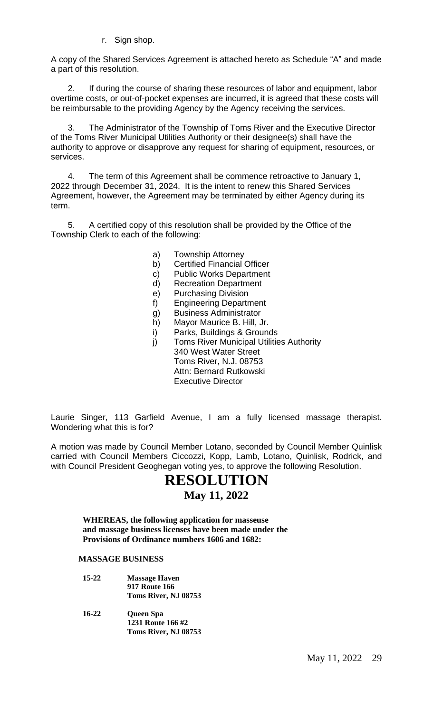r. Sign shop.

A copy of the Shared Services Agreement is attached hereto as Schedule "A" and made a part of this resolution.

2. If during the course of sharing these resources of labor and equipment, labor overtime costs, or out-of-pocket expenses are incurred, it is agreed that these costs will be reimbursable to the providing Agency by the Agency receiving the services.

3. The Administrator of the Township of Toms River and the Executive Director of the Toms River Municipal Utilities Authority or their designee(s) shall have the authority to approve or disapprove any request for sharing of equipment, resources, or services.

4. The term of this Agreement shall be commence retroactive to January 1, 2022 through December 31, 2024. It is the intent to renew this Shared Services Agreement, however, the Agreement may be terminated by either Agency during its term.

5. A certified copy of this resolution shall be provided by the Office of the Township Clerk to each of the following:

- a) Township Attorney
- b) Certified Financial Officer
- c) Public Works Department
- d) Recreation Department
- e) Purchasing Division
- f) Engineering Department
- g) Business Administrator
- h) Mayor Maurice B. Hill, Jr.
- i) Parks, Buildings & Grounds
- j) Toms River Municipal Utilities Authority 340 West Water Street Toms River, N.J. 08753 Attn: Bernard Rutkowski Executive Director

Laurie Singer, 113 Garfield Avenue, I am a fully licensed massage therapist. Wondering what this is for?

A motion was made by Council Member Lotano, seconded by Council Member Quinlisk carried with Council Members Ciccozzi, Kopp, Lamb, Lotano, Quinlisk, Rodrick, and with Council President Geoghegan voting yes, to approve the following Resolution.

# **RESOLUTION**

# **May 11, 2022**

**WHEREAS, the following application for masseuse and massage business licenses have been made under the Provisions of Ordinance numbers 1606 and 1682:**

#### **MASSAGE BUSINESS**

- **15-22 Massage Haven 917 Route 166 Toms River, NJ 08753**
- **16-22 Queen Spa 1231 Route 166 #2 Toms River, NJ 08753**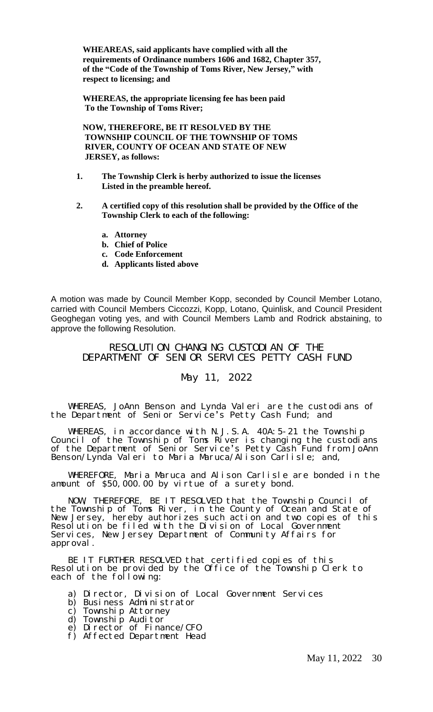**WHEAREAS, said applicants have complied with all the requirements of Ordinance numbers 1606 and 1682, Chapter 357, of the "Code of the Township of Toms River, New Jersey, " with respect to licensing; and**

**WHEREAS, the appropriate licensing fee has been paid To the Township of Toms River;**

**NOW, THEREFORE, BE IT RESOLVED BY THE TOWNSHIP COUNCIL OF THE TOWNSHIP OF TOMS RIVER, COUNTY OF OCEAN AND STATE OF NEW JERSEY, as follows:**

- **1. The Township Clerk is herby authorized to issue the licenses Listed in the preamble hereof.**
- **2. A certified copy of this resolution shall be provided by the Office of the Township Clerk to each of the following:**
	- **a. Attorney**
	- **b. Chief of Police**
	- **c. Code Enforcement**
	- **d. Applicants listed above**

A motion was made by Council Member Kopp, seconded by Council Member Lotano, carried with Council Members Ciccozzi, Kopp, Lotano, Quinlisk, and Council President Geoghegan voting yes, and with Council Members Lamb and Rodrick abstaining, to approve the following Resolution.

RESOLUTION CHANGING CUSTODIAN OF THE DEPARTMENT OF SENIOR SERVICES PETTY CASH FUND

# May 11, 2022

WHEREAS, JoAnn Benson and Lynda Valeri are the custodians of the Department of Senior Service's Petty Cash Fund; and

WHEREAS, in accordance with N.J.S.A. 40A:5-21 the Township Council of the Township of Toms River is changing the custodians of the Department of Senior Service's Petty Cash Fund from JoAnn Benson/Lynda Valeri to Maria Maruca/Alison Carlisle; and,

WHEREFORE, Maria Maruca and Alison Carlisle are bonded in the amount of \$50,000.00 by virtue of a surety bond.

NOW, THEREFORE, BE IT RESOLVED that the Township Council of the Township of Toms River, in the County of Ocean and State of New Jersey, hereby authorizes such action and two copies of this Resolution be filed with the Division of Local Government Services, New Jersey Department of Community Affairs for approval.

BE IT FURTHER RESOLVED that certified copies of this Resolution be provided by the Office of the Township Clerk to each of the following:

- a) Director, Division of Local Government Services
- b) Business Administrator
- c) Township Attorney
- d) Township Auditor
- e) Director of Finance/CFO
- f) Affected Department Head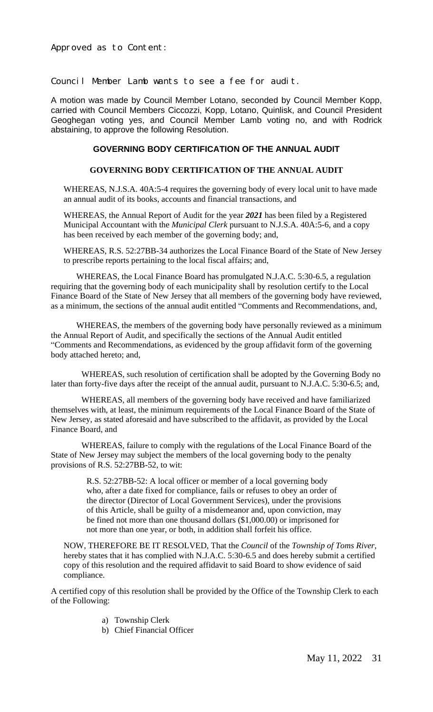Approved as to Content:

Council Member Lamb wants to see a fee for audit.

A motion was made by Council Member Lotano, seconded by Council Member Kopp, carried with Council Members Ciccozzi, Kopp, Lotano, Quinlisk, and Council President Geoghegan voting yes, and Council Member Lamb voting no, and with Rodrick abstaining, to approve the following Resolution.

#### **GOVERNING BODY CERTIFICATION OF THE ANNUAL AUDIT**

#### **GOVERNING BODY CERTIFICATION OF THE ANNUAL AUDIT**

WHEREAS, N.J.S.A. 40A:5-4 requires the governing body of every local unit to have made an annual audit of its books, accounts and financial transactions, and

WHEREAS, the Annual Report of Audit for the year *2021* has been filed by a Registered Municipal Accountant with the *Municipal Clerk* pursuant to N.J.S.A. 40A:5-6, and a copy has been received by each member of the governing body; and,

WHEREAS, R.S. 52:27BB-34 authorizes the Local Finance Board of the State of New Jersey to prescribe reports pertaining to the local fiscal affairs; and,

WHEREAS, the Local Finance Board has promulgated N.J.A.C. 5:30-6.5, a regulation requiring that the governing body of each municipality shall by resolution certify to the Local Finance Board of the State of New Jersey that all members of the governing body have reviewed, as a minimum, the sections of the annual audit entitled "Comments and Recommendations, and,

WHEREAS, the members of the governing body have personally reviewed as a minimum the Annual Report of Audit, and specifically the sections of the Annual Audit entitled "Comments and Recommendations, as evidenced by the group affidavit form of the governing body attached hereto; and,

WHEREAS, such resolution of certification shall be adopted by the Governing Body no later than forty-five days after the receipt of the annual audit, pursuant to N.J.A.C. 5:30-6.5; and,

WHEREAS, all members of the governing body have received and have familiarized themselves with, at least, the minimum requirements of the Local Finance Board of the State of New Jersey, as stated aforesaid and have subscribed to the affidavit, as provided by the Local Finance Board, and

WHEREAS, failure to comply with the regulations of the Local Finance Board of the State of New Jersey may subject the members of the local governing body to the penalty provisions of R.S. 52:27BB-52, to wit:

> R.S. 52:27BB-52: A local officer or member of a local governing body who, after a date fixed for compliance, fails or refuses to obey an order of the director (Director of Local Government Services), under the provisions of this Article, shall be guilty of a misdemeanor and, upon conviction, may be fined not more than one thousand dollars (\$1,000.00) or imprisoned for not more than one year, or both, in addition shall forfeit his office.

NOW, THEREFORE BE IT RESOLVED, That the *Council* of the *Township of Toms River*, hereby states that it has complied with N.J.A.C. 5:30-6.5 and does hereby submit a certified copy of this resolution and the required affidavit to said Board to show evidence of said compliance.

A certified copy of this resolution shall be provided by the Office of the Township Clerk to each of the Following:

- a) Township Clerk
- b) Chief Financial Officer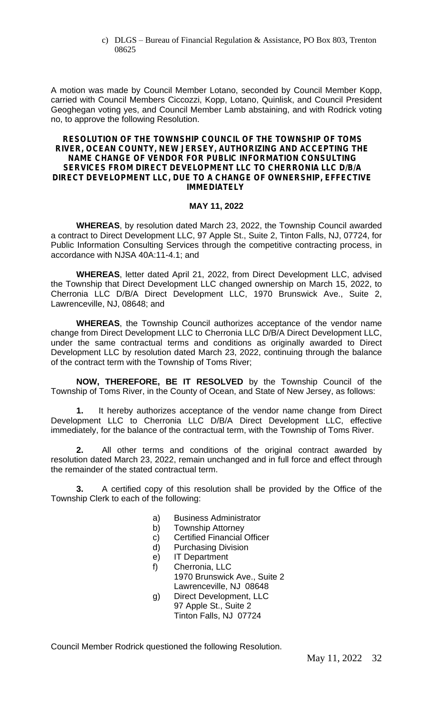c) DLGS – Bureau of Financial Regulation & Assistance, PO Box 803, Trenton 08625

A motion was made by Council Member Lotano, seconded by Council Member Kopp, carried with Council Members Ciccozzi, Kopp, Lotano, Quinlisk, and Council President Geoghegan voting yes, and Council Member Lamb abstaining, and with Rodrick voting no, to approve the following Resolution.

#### **RESOLUTION OF THE TOWNSHIP COUNCIL OF THE TOWNSHIP OF TOMS RIVER, OCEAN COUNTY, NEW JERSEY, AUTHORIZING AND ACCEPTING THE NAME CHANGE OF VENDOR FOR PUBLIC INFORMATION CONSULTING SERVICES FROM DIRECT DEVELOPMENT LLC TO CHERRONIA LLC D/B/A DIRECT DEVELOPMENT LLC, DUE TO A CHANGE OF OWNERSHIP, EFFECTIVE IMMEDIATELY**

#### **MAY 11, 2022**

**WHEREAS**, by resolution dated March 23, 2022, the Township Council awarded a contract to Direct Development LLC, 97 Apple St., Suite 2, Tinton Falls, NJ, 07724, for Public Information Consulting Services through the competitive contracting process, in accordance with NJSA 40A:11-4.1; and

**WHEREAS**, letter dated April 21, 2022, from Direct Development LLC, advised the Township that Direct Development LLC changed ownership on March 15, 2022, to Cherronia LLC D/B/A Direct Development LLC, 1970 Brunswick Ave., Suite 2, Lawrenceville, NJ, 08648; and

**WHEREAS**, the Township Council authorizes acceptance of the vendor name change from Direct Development LLC to Cherronia LLC D/B/A Direct Development LLC, under the same contractual terms and conditions as originally awarded to Direct Development LLC by resolution dated March 23, 2022, continuing through the balance of the contract term with the Township of Toms River;

**NOW, THEREFORE, BE IT RESOLVED** by the Township Council of the Township of Toms River, in the County of Ocean, and State of New Jersey, as follows:

**1.** It hereby authorizes acceptance of the vendor name change from Direct Development LLC to Cherronia LLC D/B/A Direct Development LLC, effective immediately, for the balance of the contractual term, with the Township of Toms River.

**2.** All other terms and conditions of the original contract awarded by resolution dated March 23, 2022, remain unchanged and in full force and effect through the remainder of the stated contractual term.

**3.** A certified copy of this resolution shall be provided by the Office of the Township Clerk to each of the following:

- a) Business Administrator
- b) Township Attorney
- c) Certified Financial Officer
- d) Purchasing Division
- e) IT Department
- f) Cherronia, LLC 1970 Brunswick Ave., Suite 2 Lawrenceville, NJ 08648
- g) Direct Development, LLC 97 Apple St., Suite 2 Tinton Falls, NJ 07724

Council Member Rodrick questioned the following Resolution.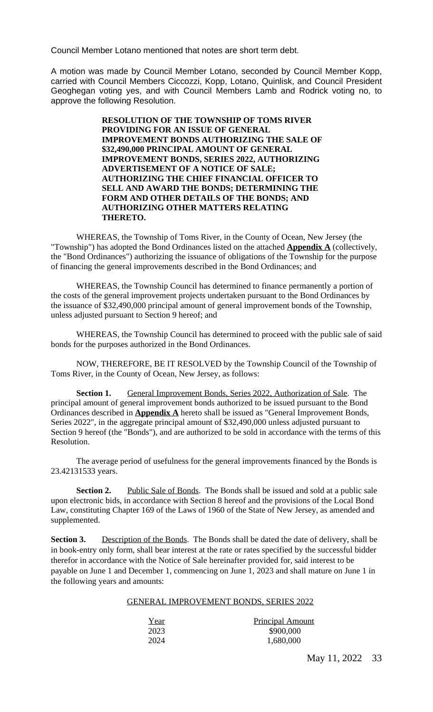Council Member Lotano mentioned that notes are short term debt.

A motion was made by Council Member Lotano, seconded by Council Member Kopp, carried with Council Members Ciccozzi, Kopp, Lotano, Quinlisk, and Council President Geoghegan voting yes, and with Council Members Lamb and Rodrick voting no, to approve the following Resolution.

> **RESOLUTION OF THE TOWNSHIP OF TOMS RIVER PROVIDING FOR AN ISSUE OF GENERAL IMPROVEMENT BONDS AUTHORIZING THE SALE OF \$32,490,000 PRINCIPAL AMOUNT OF GENERAL IMPROVEMENT BONDS, SERIES 2022, AUTHORIZING ADVERTISEMENT OF A NOTICE OF SALE; AUTHORIZING THE CHIEF FINANCIAL OFFICER TO SELL AND AWARD THE BONDS; DETERMINING THE FORM AND OTHER DETAILS OF THE BONDS; AND AUTHORIZING OTHER MATTERS RELATING THERETO.**

WHEREAS, the Township of Toms River, in the County of Ocean, New Jersey (the "Township") has adopted the Bond Ordinances listed on the attached **Appendix A** (collectively, the "Bond Ordinances") authorizing the issuance of obligations of the Township for the purpose of financing the general improvements described in the Bond Ordinances; and

WHEREAS, the Township Council has determined to finance permanently a portion of the costs of the general improvement projects undertaken pursuant to the Bond Ordinances by the issuance of \$32,490,000 principal amount of general improvement bonds of the Township, unless adjusted pursuant to Section 9 hereof; and

WHEREAS, the Township Council has determined to proceed with the public sale of said bonds for the purposes authorized in the Bond Ordinances.

NOW, THEREFORE, BE IT RESOLVED by the Township Council of the Township of Toms River, in the County of Ocean, New Jersey, as follows:

**Section 1.** General Improvement Bonds, Series 2022, Authorization of Sale. The principal amount of general improvement bonds authorized to be issued pursuant to the Bond Ordinances described in **Appendix A** hereto shall be issued as "General Improvement Bonds, Series 2022", in the aggregate principal amount of \$32,490,000 unless adjusted pursuant to Section 9 hereof (the "Bonds"), and are authorized to be sold in accordance with the terms of this Resolution.

The average period of usefulness for the general improvements financed by the Bonds is 23.42131533 years.

**Section 2.** Public Sale of Bonds. The Bonds shall be issued and sold at a public sale upon electronic bids, in accordance with Section 8 hereof and the provisions of the Local Bond Law, constituting Chapter 169 of the Laws of 1960 of the State of New Jersey, as amended and supplemented.

Section 3. Description of the Bonds. The Bonds shall be dated the date of delivery, shall be in book-entry only form, shall bear interest at the rate or rates specified by the successful bidder therefor in accordance with the Notice of Sale hereinafter provided for, said interest to be payable on June 1 and December 1, commencing on June 1, 2023 and shall mature on June 1 in the following years and amounts:

#### GENERAL IMPROVEMENT BONDS, SERIES 2022

| Year | <b>Principal Amount</b> |
|------|-------------------------|
| 2023 | \$900,000               |
| 2024 | 1,680,000               |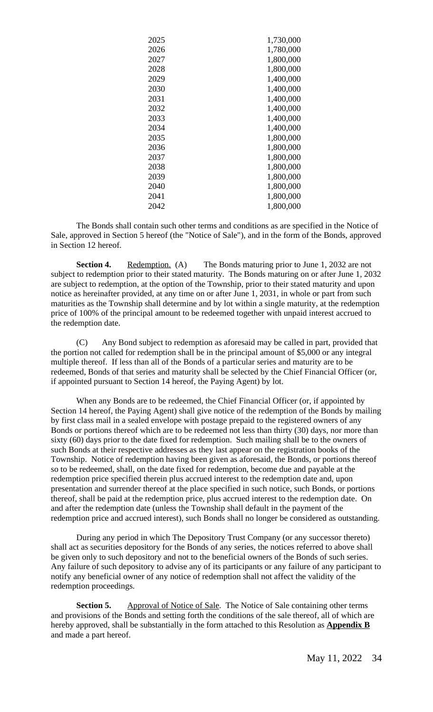| 1,730,000 |
|-----------|
| 1,780,000 |
| 1,800,000 |
| 1,800,000 |
| 1,400,000 |
| 1,400,000 |
| 1,400,000 |
| 1,400,000 |
| 1,400,000 |
| 1,400,000 |
| 1,800,000 |
| 1,800,000 |
| 1,800,000 |
| 1,800,000 |
| 1,800,000 |
| 1,800,000 |
| 1,800,000 |
| 1,800,000 |
|           |

The Bonds shall contain such other terms and conditions as are specified in the Notice of Sale, approved in Section 5 hereof (the "Notice of Sale"), and in the form of the Bonds, approved in Section 12 hereof.

**Section 4.** Redemption. (A) The Bonds maturing prior to June 1, 2032 are not subject to redemption prior to their stated maturity. The Bonds maturing on or after June 1, 2032 are subject to redemption, at the option of the Township, prior to their stated maturity and upon notice as hereinafter provided, at any time on or after June 1, 2031, in whole or part from such maturities as the Township shall determine and by lot within a single maturity, at the redemption price of 100% of the principal amount to be redeemed together with unpaid interest accrued to the redemption date.

(C) Any Bond subject to redemption as aforesaid may be called in part, provided that the portion not called for redemption shall be in the principal amount of \$5,000 or any integral multiple thereof. If less than all of the Bonds of a particular series and maturity are to be redeemed, Bonds of that series and maturity shall be selected by the Chief Financial Officer (or, if appointed pursuant to Section 14 hereof, the Paying Agent) by lot.

When any Bonds are to be redeemed, the Chief Financial Officer (or, if appointed by Section 14 hereof, the Paying Agent) shall give notice of the redemption of the Bonds by mailing by first class mail in a sealed envelope with postage prepaid to the registered owners of any Bonds or portions thereof which are to be redeemed not less than thirty (30) days, nor more than sixty (60) days prior to the date fixed for redemption. Such mailing shall be to the owners of such Bonds at their respective addresses as they last appear on the registration books of the Township. Notice of redemption having been given as aforesaid, the Bonds, or portions thereof so to be redeemed, shall, on the date fixed for redemption, become due and payable at the redemption price specified therein plus accrued interest to the redemption date and, upon presentation and surrender thereof at the place specified in such notice, such Bonds, or portions thereof, shall be paid at the redemption price, plus accrued interest to the redemption date. On and after the redemption date (unless the Township shall default in the payment of the redemption price and accrued interest), such Bonds shall no longer be considered as outstanding.

During any period in which The Depository Trust Company (or any successor thereto) shall act as securities depository for the Bonds of any series, the notices referred to above shall be given only to such depository and not to the beneficial owners of the Bonds of such series. Any failure of such depository to advise any of its participants or any failure of any participant to notify any beneficial owner of any notice of redemption shall not affect the validity of the redemption proceedings.

**Section 5.** Approval of Notice of Sale. The Notice of Sale containing other terms and provisions of the Bonds and setting forth the conditions of the sale thereof, all of which are hereby approved, shall be substantially in the form attached to this Resolution as **Appendix B** and made a part hereof.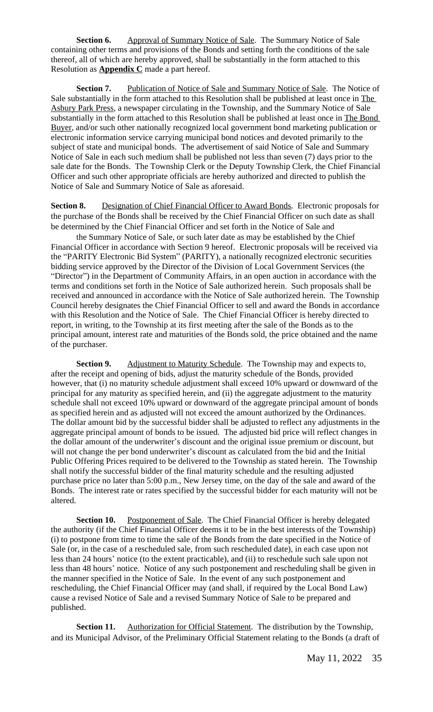**Section 6.** Approval of Summary Notice of Sale. The Summary Notice of Sale containing other terms and provisions of the Bonds and setting forth the conditions of the sale thereof, all of which are hereby approved, shall be substantially in the form attached to this Resolution as **Appendix C** made a part hereof.

**Section 7.** Publication of Notice of Sale and Summary Notice of Sale. The Notice of Sale substantially in the form attached to this Resolution shall be published at least once in The Asbury Park Press*,* a newspaper circulating in the Township, and the Summary Notice of Sale substantially in the form attached to this Resolution shall be published at least once in The Bond Buyer, and/or such other nationally recognized local government bond marketing publication or electronic information service carrying municipal bond notices and devoted primarily to the subject of state and municipal bonds. The advertisement of said Notice of Sale and Summary Notice of Sale in each such medium shall be published not less than seven (7) days prior to the sale date for the Bonds. The Township Clerk or the Deputy Township Clerk, the Chief Financial Officer and such other appropriate officials are hereby authorized and directed to publish the Notice of Sale and Summary Notice of Sale as aforesaid.

**Section 8.** Designation of Chief Financial Officer to Award Bonds. Electronic proposals for the purchase of the Bonds shall be received by the Chief Financial Officer on such date as shall be determined by the Chief Financial Officer and set forth in the Notice of Sale and

the Summary Notice of Sale, or such later date as may be established by the Chief Financial Officer in accordance with Section 9 hereof. Electronic proposals will be received via the "PARITY Electronic Bid System" (PARITY), a nationally recognized electronic securities bidding service approved by the Director of the Division of Local Government Services (the "Director") in the Department of Community Affairs, in an open auction in accordance with the terms and conditions set forth in the Notice of Sale authorized herein. Such proposals shall be received and announced in accordance with the Notice of Sale authorized herein. The Township Council hereby designates the Chief Financial Officer to sell and award the Bonds in accordance with this Resolution and the Notice of Sale. The Chief Financial Officer is hereby directed to report, in writing, to the Township at its first meeting after the sale of the Bonds as to the principal amount, interest rate and maturities of the Bonds sold, the price obtained and the name of the purchaser.

**Section 9.** Adjustment to Maturity Schedule. The Township may and expects to, after the receipt and opening of bids, adjust the maturity schedule of the Bonds, provided however, that (i) no maturity schedule adjustment shall exceed 10% upward or downward of the principal for any maturity as specified herein, and (ii) the aggregate adjustment to the maturity schedule shall not exceed 10% upward or downward of the aggregate principal amount of bonds as specified herein and as adjusted will not exceed the amount authorized by the Ordinances. The dollar amount bid by the successful bidder shall be adjusted to reflect any adjustments in the aggregate principal amount of bonds to be issued. The adjusted bid price will reflect changes in the dollar amount of the underwriter's discount and the original issue premium or discount, but will not change the per bond underwriter's discount as calculated from the bid and the Initial Public Offering Prices required to be delivered to the Township as stated herein. The Township shall notify the successful bidder of the final maturity schedule and the resulting adjusted purchase price no later than 5:00 p.m., New Jersey time, on the day of the sale and award of the Bonds. The interest rate or rates specified by the successful bidder for each maturity will not be altered.

**Section 10.** Postponement of Sale. The Chief Financial Officer is hereby delegated the authority (if the Chief Financial Officer deems it to be in the best interests of the Township) (i) to postpone from time to time the sale of the Bonds from the date specified in the Notice of Sale (or, in the case of a rescheduled sale, from such rescheduled date), in each case upon not less than 24 hours' notice (to the extent practicable), and (ii) to reschedule such sale upon not less than 48 hours' notice. Notice of any such postponement and rescheduling shall be given in the manner specified in the Notice of Sale. In the event of any such postponement and rescheduling, the Chief Financial Officer may (and shall, if required by the Local Bond Law) cause a revised Notice of Sale and a revised Summary Notice of Sale to be prepared and published.

**Section 11.** Authorization for Official Statement. The distribution by the Township, and its Municipal Advisor, of the Preliminary Official Statement relating to the Bonds (a draft of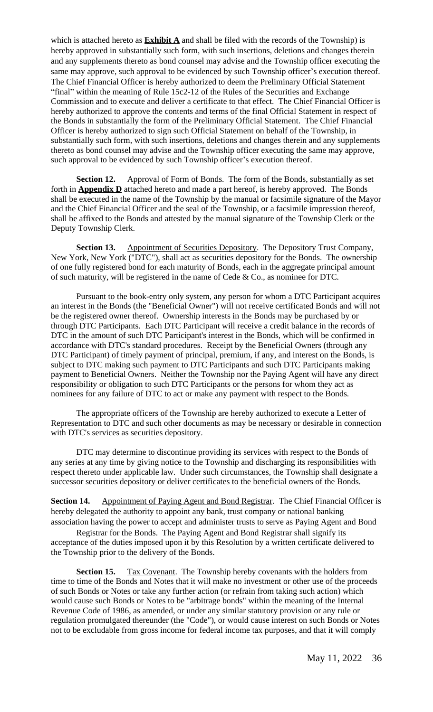which is attached hereto as  $\frac{\text{Exhibit A}}{\text{A}}$  and shall be filed with the records of the Township) is hereby approved in substantially such form, with such insertions, deletions and changes therein and any supplements thereto as bond counsel may advise and the Township officer executing the same may approve, such approval to be evidenced by such Township officer's execution thereof. The Chief Financial Officer is hereby authorized to deem the Preliminary Official Statement "final" within the meaning of Rule 15c2-12 of the Rules of the Securities and Exchange Commission and to execute and deliver a certificate to that effect. The Chief Financial Officer is hereby authorized to approve the contents and terms of the final Official Statement in respect of the Bonds in substantially the form of the Preliminary Official Statement. The Chief Financial Officer is hereby authorized to sign such Official Statement on behalf of the Township, in substantially such form, with such insertions, deletions and changes therein and any supplements thereto as bond counsel may advise and the Township officer executing the same may approve, such approval to be evidenced by such Township officer's execution thereof.

**Section 12.** Approval of Form of Bonds. The form of the Bonds, substantially as set forth in **Appendix D** attached hereto and made a part hereof, is hereby approved. The Bonds shall be executed in the name of the Township by the manual or facsimile signature of the Mayor and the Chief Financial Officer and the seal of the Township, or a facsimile impression thereof, shall be affixed to the Bonds and attested by the manual signature of the Township Clerk or the Deputy Township Clerk.

**Section 13.** Appointment of Securities Depository. The Depository Trust Company, New York, New York ("DTC"), shall act as securities depository for the Bonds. The ownership of one fully registered bond for each maturity of Bonds, each in the aggregate principal amount of such maturity, will be registered in the name of Cede & Co., as nominee for DTC.

Pursuant to the book-entry only system, any person for whom a DTC Participant acquires an interest in the Bonds (the "Beneficial Owner") will not receive certificated Bonds and will not be the registered owner thereof. Ownership interests in the Bonds may be purchased by or through DTC Participants. Each DTC Participant will receive a credit balance in the records of DTC in the amount of such DTC Participant's interest in the Bonds, which will be confirmed in accordance with DTC's standard procedures. Receipt by the Beneficial Owners (through any DTC Participant) of timely payment of principal, premium, if any, and interest on the Bonds, is subject to DTC making such payment to DTC Participants and such DTC Participants making payment to Beneficial Owners. Neither the Township nor the Paying Agent will have any direct responsibility or obligation to such DTC Participants or the persons for whom they act as nominees for any failure of DTC to act or make any payment with respect to the Bonds.

The appropriate officers of the Township are hereby authorized to execute a Letter of Representation to DTC and such other documents as may be necessary or desirable in connection with DTC's services as securities depository.

DTC may determine to discontinue providing its services with respect to the Bonds of any series at any time by giving notice to the Township and discharging its responsibilities with respect thereto under applicable law. Under such circumstances, the Township shall designate a successor securities depository or deliver certificates to the beneficial owners of the Bonds.

**Section 14.** Appointment of Paying Agent and Bond Registrar. The Chief Financial Officer is hereby delegated the authority to appoint any bank, trust company or national banking association having the power to accept and administer trusts to serve as Paying Agent and Bond

Registrar for the Bonds. The Paying Agent and Bond Registrar shall signify its acceptance of the duties imposed upon it by this Resolution by a written certificate delivered to the Township prior to the delivery of the Bonds.

**Section 15.** Tax Covenant. The Township hereby covenants with the holders from time to time of the Bonds and Notes that it will make no investment or other use of the proceeds of such Bonds or Notes or take any further action (or refrain from taking such action) which would cause such Bonds or Notes to be "arbitrage bonds" within the meaning of the Internal Revenue Code of 1986, as amended, or under any similar statutory provision or any rule or regulation promulgated thereunder (the "Code"), or would cause interest on such Bonds or Notes not to be excludable from gross income for federal income tax purposes, and that it will comply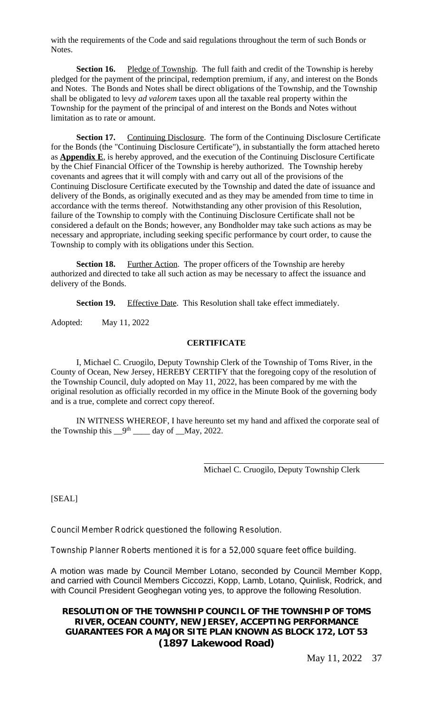with the requirements of the Code and said regulations throughout the term of such Bonds or Notes.

**Section 16.** Pledge of Township. The full faith and credit of the Township is hereby pledged for the payment of the principal, redemption premium, if any, and interest on the Bonds and Notes. The Bonds and Notes shall be direct obligations of the Township, and the Township shall be obligated to levy *ad valorem* taxes upon all the taxable real property within the Township for the payment of the principal of and interest on the Bonds and Notes without limitation as to rate or amount.

**Section 17.** Continuing Disclosure. The form of the Continuing Disclosure Certificate for the Bonds (the "Continuing Disclosure Certificate"), in substantially the form attached hereto as **Appendix E**, is hereby approved, and the execution of the Continuing Disclosure Certificate by the Chief Financial Officer of the Township is hereby authorized. The Township hereby covenants and agrees that it will comply with and carry out all of the provisions of the Continuing Disclosure Certificate executed by the Township and dated the date of issuance and delivery of the Bonds, as originally executed and as they may be amended from time to time in accordance with the terms thereof. Notwithstanding any other provision of this Resolution, failure of the Township to comply with the Continuing Disclosure Certificate shall not be considered a default on the Bonds; however, any Bondholder may take such actions as may be necessary and appropriate, including seeking specific performance by court order, to cause the Township to comply with its obligations under this Section.

**Section 18.** Further Action. The proper officers of the Township are hereby authorized and directed to take all such action as may be necessary to affect the issuance and delivery of the Bonds.

**Section 19.** Effective Date. This Resolution shall take effect immediately.

Adopted: May 11, 2022

#### **CERTIFICATE**

I, Michael C. Cruogilo, Deputy Township Clerk of the Township of Toms River, in the County of Ocean, New Jersey, HEREBY CERTIFY that the foregoing copy of the resolution of the Township Council, duly adopted on May 11, 2022, has been compared by me with the original resolution as officially recorded in my office in the Minute Book of the governing body and is a true, complete and correct copy thereof.

IN WITNESS WHEREOF, I have hereunto set my hand and affixed the corporate seal of the Township this  $\frac{9}{\text{th}}$   $\frac{1}{\text{th}}$  day of  $\frac{1}{\text{May}}$ , 2022.

 $\overline{a}$ 

Michael C. Cruogilo, Deputy Township Clerk

[SEAL]

Council Member Rodrick questioned the following Resolution.

Township Planner Roberts mentioned it is for a 52,000 square feet office building.

A motion was made by Council Member Lotano, seconded by Council Member Kopp, and carried with Council Members Ciccozzi, Kopp, Lamb, Lotano, Quinlisk, Rodrick, and with Council President Geoghegan voting yes, to approve the following Resolution.

# **RESOLUTION OF THE TOWNSHIP COUNCIL OF THE TOWNSHIP OF TOMS RIVER, OCEAN COUNTY, NEW JERSEY, ACCEPTING PERFORMANCE GUARANTEES FOR A MAJOR SITE PLAN KNOWN AS BLOCK 172, LOT 53 (1897 Lakewood Road)**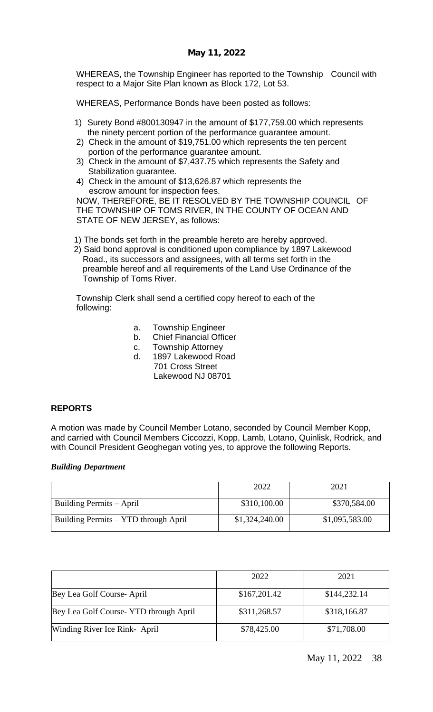WHEREAS, the Township Engineer has reported to the Township Council with respect to a Major Site Plan known as Block 172, Lot 53.

WHEREAS, Performance Bonds have been posted as follows:

- 1) Surety Bond #800130947 in the amount of \$177,759.00 which represents the ninety percent portion of the performance guarantee amount.
- 2) Check in the amount of \$19,751.00 which represents the ten percent portion of the performance guarantee amount.
- 3) Check in the amount of \$7,437.75 which represents the Safety and Stabilization guarantee.
- 4) Check in the amount of \$13,626.87 which represents the escrow amount for inspection fees.

NOW, THEREFORE, BE IT RESOLVED BY THE TOWNSHIP COUNCIL OF THE TOWNSHIP OF TOMS RIVER, IN THE COUNTY OF OCEAN AND STATE OF NEW JERSEY, as follows:

- 1) The bonds set forth in the preamble hereto are hereby approved.
- 2) Said bond approval is conditioned upon compliance by 1897 Lakewood Road., its successors and assignees, with all terms set forth in the preamble hereof and all requirements of the Land Use Ordinance of the Township of Toms River.

Township Clerk shall send a certified copy hereof to each of the following:

- a. Township Engineer
- b. Chief Financial Officer
- c. Township Attorney
- d. 1897 Lakewood Road 701 Cross Street Lakewood NJ 08701

## **REPORTS**

A motion was made by Council Member Lotano, seconded by Council Member Kopp, and carried with Council Members Ciccozzi, Kopp, Lamb, Lotano, Quinlisk, Rodrick, and with Council President Geoghegan voting yes, to approve the following Reports.

#### *Building Department*

|                                      | 2022           | 2021           |
|--------------------------------------|----------------|----------------|
| Building Permits – April             | \$310,100.00   | \$370,584.00   |
| Building Permits – YTD through April | \$1,324,240.00 | \$1,095,583.00 |

|                                       | 2022         | 2021         |
|---------------------------------------|--------------|--------------|
| Bey Lea Golf Course-April             | \$167,201.42 | \$144,232.14 |
| Bey Lea Golf Course-YTD through April | \$311,268.57 | \$318,166.87 |
| Winding River Ice Rink- April         | \$78,425.00  | \$71,708.00  |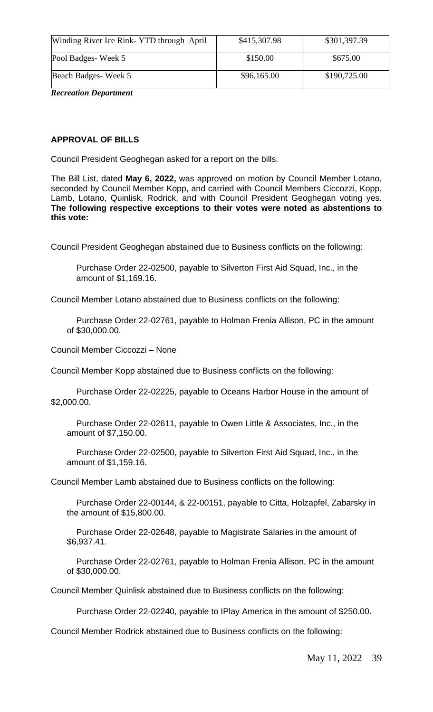| Winding River Ice Rink- YTD through April | \$415,307.98 | \$301,397.39 |
|-------------------------------------------|--------------|--------------|
| Pool Badges-Week 5                        | \$150.00     | \$675.00     |
| Beach Badges-Week 5                       | \$96,165.00  | \$190,725.00 |

*Recreation Department*

## **APPROVAL OF BILLS**

Council President Geoghegan asked for a report on the bills.

The Bill List, dated **May 6, 2022,** was approved on motion by Council Member Lotano, seconded by Council Member Kopp, and carried with Council Members Ciccozzi, Kopp, Lamb, Lotano, Quinlisk, Rodrick, and with Council President Geoghegan voting yes. **The following respective exceptions to their votes were noted as abstentions to this vote:**

Council President Geoghegan abstained due to Business conflicts on the following:

Purchase Order 22-02500, payable to Silverton First Aid Squad, Inc., in the amount of \$1,169.16.

Council Member Lotano abstained due to Business conflicts on the following:

Purchase Order 22-02761, payable to Holman Frenia Allison, PC in the amount of \$30,000.00.

Council Member Ciccozzi – None

Council Member Kopp abstained due to Business conflicts on the following:

Purchase Order 22-02225, payable to Oceans Harbor House in the amount of \$2,000.00.

Purchase Order 22-02611, payable to Owen Little & Associates, Inc., in the amount of \$7,150.00.

Purchase Order 22-02500, payable to Silverton First Aid Squad, Inc., in the amount of \$1,159.16.

Council Member Lamb abstained due to Business conflicts on the following:

Purchase Order 22-00144, & 22-00151, payable to Citta, Holzapfel, Zabarsky in the amount of \$15,800.00.

Purchase Order 22-02648, payable to Magistrate Salaries in the amount of \$6,937.41.

Purchase Order 22-02761, payable to Holman Frenia Allison, PC in the amount of \$30,000.00.

Council Member Quinlisk abstained due to Business conflicts on the following:

Purchase Order 22-02240, payable to IPlay America in the amount of \$250.00.

Council Member Rodrick abstained due to Business conflicts on the following: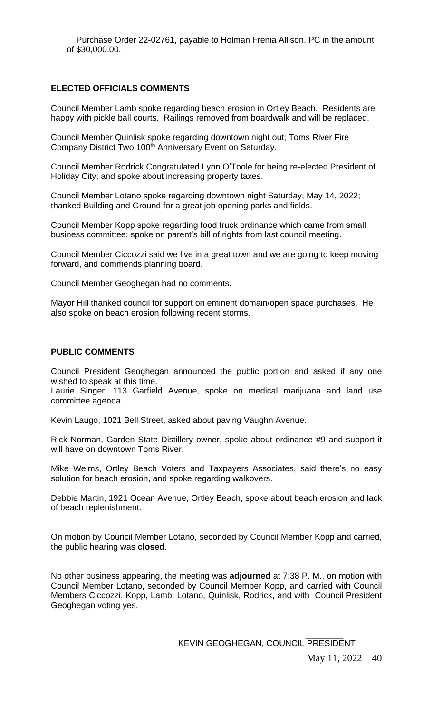Purchase Order 22-02761, payable to Holman Frenia Allison, PC in the amount of \$30,000.00.

## **ELECTED OFFICIALS COMMENTS**

Council Member Lamb spoke regarding beach erosion in Ortley Beach. Residents are happy with pickle ball courts. Railings removed from boardwalk and will be replaced.

Council Member Quinlisk spoke regarding downtown night out; Toms River Fire Company District Two 100<sup>th</sup> Anniversary Event on Saturday.

Council Member Rodrick Congratulated Lynn O'Toole for being re-elected President of Holiday City; and spoke about increasing property taxes.

Council Member Lotano spoke regarding downtown night Saturday, May 14, 2022; thanked Building and Ground for a great job opening parks and fields.

Council Member Kopp spoke regarding food truck ordinance which came from small business committee; spoke on parent's bill of rights from last council meeting.

Council Member Ciccozzi said we live in a great town and we are going to keep moving forward, and commends planning board.

Council Member Geoghegan had no comments.

Mayor Hill thanked council for support on eminent domain/open space purchases. He also spoke on beach erosion following recent storms.

#### **PUBLIC COMMENTS**

Council President Geoghegan announced the public portion and asked if any one wished to speak at this time.

Laurie Singer, 113 Garfield Avenue, spoke on medical marijuana and land use committee agenda.

Kevin Laugo, 1021 Bell Street, asked about paving Vaughn Avenue.

Rick Norman, Garden State Distillery owner, spoke about ordinance #9 and support it will have on downtown Toms River.

Mike Weims, Ortley Beach Voters and Taxpayers Associates, said there's no easy solution for beach erosion, and spoke regarding walkovers.

Debbie Martin, 1921 Ocean Avenue, Ortley Beach, spoke about beach erosion and lack of beach replenishment.

On motion by Council Member Lotano, seconded by Council Member Kopp and carried, the public hearing was **closed**.

No other business appearing, the meeting was **adjourned** at 7:38 P. M., on motion with Council Member Lotano, seconded by Council Member Kopp, and carried with Council Members Ciccozzi, Kopp, Lamb, Lotano, Quinlisk, Rodrick, and with Council President Geoghegan voting yes.